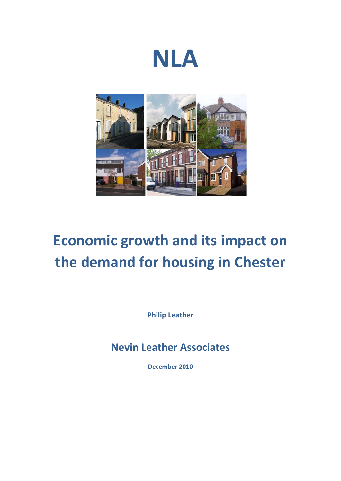



# **Economic growth and its impact on the demand for housing in Chester**

**Philip Leather**

**Nevin Leather Associates**

**December 2010**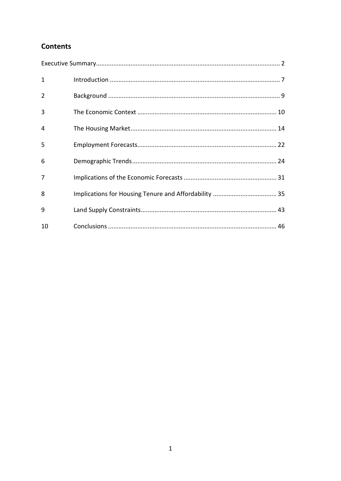# **Contents**

| $\mathbf{1}$ |  |
|--------------|--|
| 2            |  |
| 3            |  |
| 4            |  |
| 5            |  |
| 6            |  |
| 7            |  |
| 8            |  |
| 9            |  |
| 10           |  |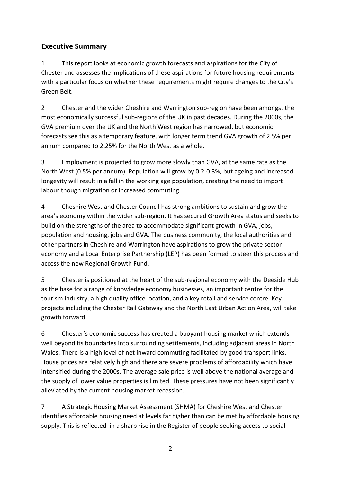# **Executive Summary**

1 This report looks at economic growth forecasts and aspirations for the City of Chester and assesses the implications of these aspirations for future housing requirements with a particular focus on whether these requirements might require changes to the City's Green Belt.

2 Chester and the wider Cheshire and Warrington sub-region have been amongst the most economically successful sub-regions of the UK in past decades. During the 2000s, the GVA premium over the UK and the North West region has narrowed, but economic forecasts see this as a temporary feature, with longer term trend GVA growth of 2.5% per annum compared to 2.25% for the North West as a whole.

3 Employment is projected to grow more slowly than GVA, at the same rate as the North West (0.5% per annum). Population will grow by 0.2-0.3%, but ageing and increased longevity will result in a fall in the working age population, creating the need to import labour though migration or increased commuting.

4 Cheshire West and Chester Council has strong ambitions to sustain and grow the area's economy within the wider sub-region. It has secured Growth Area status and seeks to build on the strengths of the area to accommodate significant growth in GVA, jobs, population and housing, jobs and GVA. The business community, the local authorities and other partners in Cheshire and Warrington have aspirations to grow the private sector economy and a Local Enterprise Partnership (LEP) has been formed to steer this process and access the new Regional Growth Fund.

5 Chester is positioned at the heart of the sub-regional economy with the Deeside Hub as the base for a range of knowledge economy businesses, an important centre for the tourism industry, a high quality office location, and a key retail and service centre. Key projects including the Chester Rail Gateway and the North East Urban Action Area, will take growth forward.

6 Chester's economic success has created a buoyant housing market which extends well beyond its boundaries into surrounding settlements, including adjacent areas in North Wales. There is a high level of net inward commuting facilitated by good transport links. House prices are relatively high and there are severe problems of affordability which have intensified during the 2000s. The average sale price is well above the national average and the supply of lower value properties is limited. These pressures have not been significantly alleviated by the current housing market recession.

7 A Strategic Housing Market Assessment (SHMA) for Cheshire West and Chester identifies affordable housing need at levels far higher than can be met by affordable housing supply. This is reflected in a sharp rise in the Register of people seeking access to social

2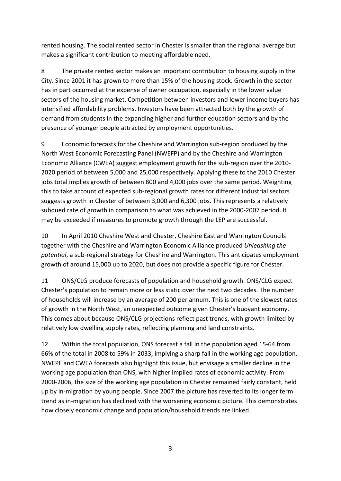rented housing. The social rented sector in Chester is smaller than the regional average but makes a significant contribution to meeting affordable need.

8 The private rented sector makes an important contribution to housing supply in the City. Since 2001 it has grown to more than 15% of the housing stock. Growth in the sector has in part occurred at the expense of owner occupation, especially in the lower value sectors of the housing market. Competition between investors and lower income buyers has intensified affordability problems. Investors have been attracted both by the growth of demand from students in the expanding higher and further education sectors and by the presence of younger people attracted by employment opportunities.

9 Economic forecasts for the Cheshire and Warrington sub-region produced by the North West Economic Forecasting Panel (NWEFP) and by the Cheshire and Warrington Economic Alliance (CWEA) suggest employment growth for the sub-region over the 2010- 2020 period of between 5,000 and 25,000 respectively. Applying these to the 2010 Chester jobs total implies growth of between 800 and 4,000 jobs over the same period. Weighting this to take account of expected sub-regional growth rates for different industrial sectors suggests growth in Chester of between 3,000 and 6,300 jobs. This represents a relatively subdued rate of growth in comparison to what was achieved in the 2000-2007 period. It may be exceeded if measures to promote growth through the LEP are successful.

10 In April 2010 Cheshire West and Chester, Cheshire East and Warrington Councils together with the Cheshire and Warrington Economic Alliance produced *Unleashing the potential*, a sub-regional strategy for Cheshire and Warrington. This anticipates employment growth of around 15,000 up to 2020, but does not provide a specific figure for Chester.

11 ONS/CLG produce forecasts of population and household growth. ONS/CLG expect Chester's population to remain more or less static over the next two decades. The number of households will increase by an average of 200 per annum. This is one of the slowest rates of growth in the North West, an unexpected outcome given Chester's buoyant economy. This comes about because ONS/CLG projections reflect past trends, with growth limited by relatively low dwelling supply rates, reflecting planning and land constraints.

12 Within the total population, ONS forecast a fall in the population aged 15-64 from 66% of the total in 2008 to 59% in 2033, implying a sharp fall in the working age population. NWEPF and CWEA forecasts also highlight this issue, but envisage a smaller decline in the working age population than ONS, with higher implied rates of economic activity. From 2000-2006, the size of the working age population in Chester remained fairly constant, held up by in-migration by young people. Since 2007 the picture has reverted to its longer term trend as in-migration has declined with the worsening economic picture. This demonstrates how closely economic change and population/household trends are linked.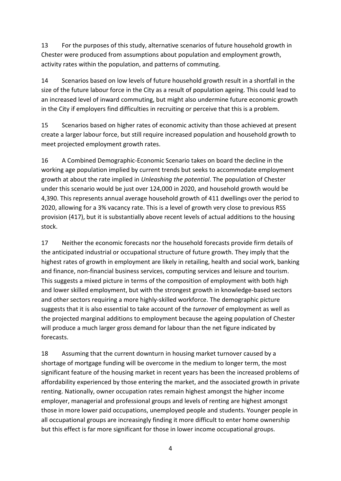13 For the purposes of this study, alternative scenarios of future household growth in Chester were produced from assumptions about population and employment growth, activity rates within the population, and patterns of commuting.

14 Scenarios based on low levels of future household growth result in a shortfall in the size of the future labour force in the City as a result of population ageing. This could lead to an increased level of inward commuting, but might also undermine future economic growth in the City if employers find difficulties in recruiting or perceive that this is a problem.

15 Scenarios based on higher rates of economic activity than those achieved at present create a larger labour force, but still require increased population and household growth to meet projected employment growth rates.

16 A Combined Demographic-Economic Scenario takes on board the decline in the working age population implied by current trends but seeks to accommodate employment growth at about the rate implied in *Unleashing the potential*. The population of Chester under this scenario would be just over 124,000 in 2020, and household growth would be 4,390. This represents annual average household growth of 411 dwellings over the period to 2020, allowing for a 3% vacancy rate. This is a level of growth very close to previous RSS provision (417), but it is substantially above recent levels of actual additions to the housing stock.

17 Neither the economic forecasts nor the household forecasts provide firm details of the anticipated industrial or occupational structure of future growth. They imply that the highest rates of growth in employment are likely in retailing, health and social work, banking and finance, non-financial business services, computing services and leisure and tourism. This suggests a mixed picture in terms of the composition of employment with both high and lower skilled employment, but with the strongest growth in knowledge-based sectors and other sectors requiring a more highly-skilled workforce. The demographic picture suggests that it is also essential to take account of the *turnover* of employment as well as the projected marginal additions to employment because the ageing population of Chester will produce a much larger gross demand for labour than the net figure indicated by forecasts.

18 Assuming that the current downturn in housing market turnover caused by a shortage of mortgage funding will be overcome in the medium to longer term, the most significant feature of the housing market in recent years has been the increased problems of affordability experienced by those entering the market, and the associated growth in private renting. Nationally, owner occupation rates remain highest amongst the higher income employer, managerial and professional groups and levels of renting are highest amongst those in more lower paid occupations, unemployed people and students. Younger people in all occupational groups are increasingly finding it more difficult to enter home ownership but this effect is far more significant for those in lower income occupational groups.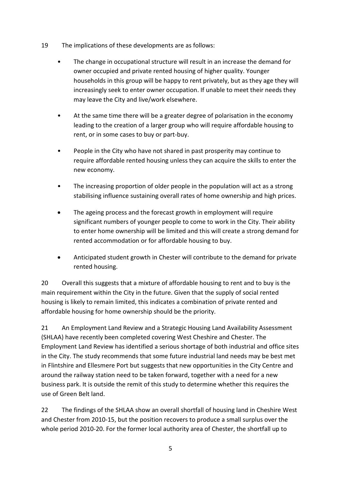- 19 The implications of these developments are as follows:
	- The change in occupational structure will result in an increase the demand for owner occupied and private rented housing of higher quality. Younger households in this group will be happy to rent privately, but as they age they will increasingly seek to enter owner occupation. If unable to meet their needs they may leave the City and live/work elsewhere.
	- At the same time there will be a greater degree of polarisation in the economy leading to the creation of a larger group who will require affordable housing to rent, or in some cases to buy or part-buy.
	- People in the City who have not shared in past prosperity may continue to require affordable rented housing unless they can acquire the skills to enter the new economy.
	- The increasing proportion of older people in the population will act as a strong stabilising influence sustaining overall rates of home ownership and high prices.
	- The ageing process and the forecast growth in employment will require significant numbers of younger people to come to work in the City. Their ability to enter home ownership will be limited and this will create a strong demand for rented accommodation or for affordable housing to buy.
	- Anticipated student growth in Chester will contribute to the demand for private rented housing.

20 Overall this suggests that a mixture of affordable housing to rent and to buy is the main requirement within the City in the future. Given that the supply of social rented housing is likely to remain limited, this indicates a combination of private rented and affordable housing for home ownership should be the priority.

21 An Employment Land Review and a Strategic Housing Land Availability Assessment (SHLAA) have recently been completed covering West Cheshire and Chester. The Employment Land Review has identified a serious shortage of both industrial and office sites in the City. The study recommends that some future industrial land needs may be best met in Flintshire and Ellesmere Port but suggests that new opportunities in the City Centre and around the railway station need to be taken forward, together with a need for a new business park. It is outside the remit of this study to determine whether this requires the use of Green Belt land.

22 The findings of the SHLAA show an overall shortfall of housing land in Cheshire West and Chester from 2010-15, but the position recovers to produce a small surplus over the whole period 2010-20. For the former local authority area of Chester, the shortfall up to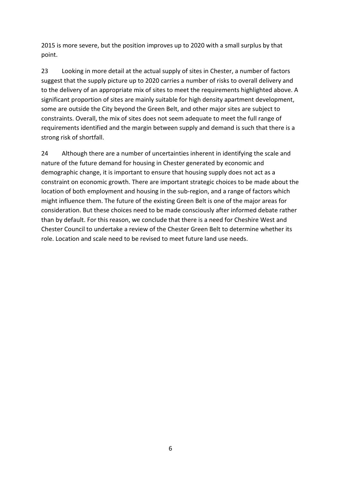2015 is more severe, but the position improves up to 2020 with a small surplus by that point.

23 Looking in more detail at the actual supply of sites in Chester, a number of factors suggest that the supply picture up to 2020 carries a number of risks to overall delivery and to the delivery of an appropriate mix of sites to meet the requirements highlighted above. A significant proportion of sites are mainly suitable for high density apartment development, some are outside the City beyond the Green Belt, and other major sites are subject to constraints. Overall, the mix of sites does not seem adequate to meet the full range of requirements identified and the margin between supply and demand is such that there is a strong risk of shortfall.

24 Although there are a number of uncertainties inherent in identifying the scale and nature of the future demand for housing in Chester generated by economic and demographic change, it is important to ensure that housing supply does not act as a constraint on economic growth. There are important strategic choices to be made about the location of both employment and housing in the sub-region, and a range of factors which might influence them. The future of the existing Green Belt is one of the major areas for consideration. But these choices need to be made consciously after informed debate rather than by default. For this reason, we conclude that there is a need for Cheshire West and Chester Council to undertake a review of the Chester Green Belt to determine whether its role. Location and scale need to be revised to meet future land use needs.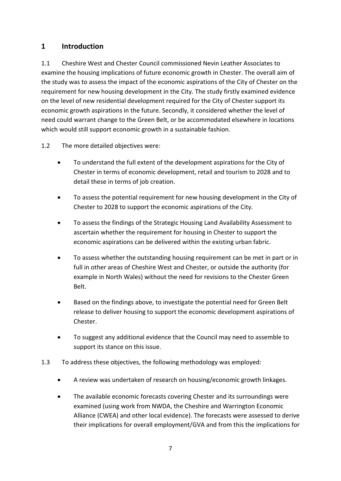## **1 Introduction**

1.1 Cheshire West and Chester Council commissioned Nevin Leather Associates to examine the housing implications of future economic growth in Chester. The overall aim of the study was to assess the impact of the economic aspirations of the City of Chester on the requirement for new housing development in the City. The study firstly examined evidence on the level of new residential development required for the City of Chester support its economic growth aspirations in the future. Secondly, it considered whether the level of need could warrant change to the Green Belt, or be accommodated elsewhere in locations which would still support economic growth in a sustainable fashion.

- 1.2 The more detailed objectives were:
	- To understand the full extent of the development aspirations for the City of Chester in terms of economic development, retail and tourism to 2028 and to detail these in terms of job creation.
	- To assess the potential requirement for new housing development in the City of Chester to 2028 to support the economic aspirations of the City.
	- To assess the findings of the Strategic Housing Land Availability Assessment to ascertain whether the requirement for housing in Chester to support the economic aspirations can be delivered within the existing urban fabric.
	- To assess whether the outstanding housing requirement can be met in part or in full in other areas of Cheshire West and Chester, or outside the authority (for example in North Wales) without the need for revisions to the Chester Green Belt.
	- Based on the findings above, to investigate the potential need for Green Belt release to deliver housing to support the economic development aspirations of Chester.
	- To suggest any additional evidence that the Council may need to assemble to support its stance on this issue.
- 1.3 To address these objectives, the following methodology was employed:
	- A review was undertaken of research on housing/economic growth linkages.
	- The available economic forecasts covering Chester and its surroundings were examined (using work from NWDA, the Cheshire and Warrington Economic Alliance (CWEA) and other local evidence). The forecasts were assessed to derive their implications for overall employment/GVA and from this the implications for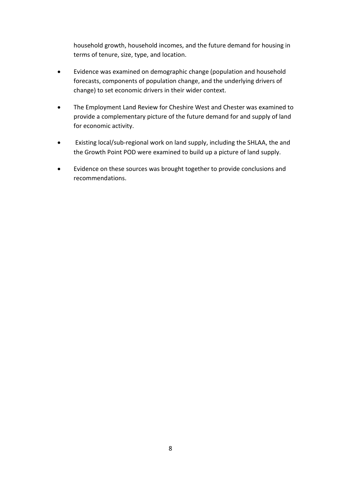household growth, household incomes, and the future demand for housing in terms of tenure, size, type, and location.

- Evidence was examined on demographic change (population and household forecasts, components of population change, and the underlying drivers of change) to set economic drivers in their wider context.
- The Employment Land Review for Cheshire West and Chester was examined to provide a complementary picture of the future demand for and supply of land for economic activity.
- Existing local/sub-regional work on land supply, including the SHLAA, the and the Growth Point POD were examined to build up a picture of land supply.
- Evidence on these sources was brought together to provide conclusions and recommendations.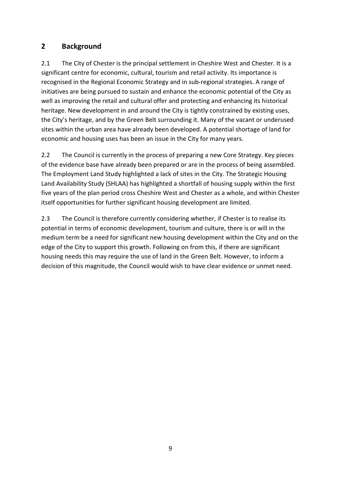## **2 Background**

2.1 The City of Chester is the principal settlement in Cheshire West and Chester. It is a significant centre for economic, cultural, tourism and retail activity. Its importance is recognised in the Regional Economic Strategy and in sub-regional strategies. A range of initiatives are being pursued to sustain and enhance the economic potential of the City as well as improving the retail and cultural offer and protecting and enhancing its historical heritage. New development in and around the City is tightly constrained by existing uses, the City's heritage, and by the Green Belt surrounding it. Many of the vacant or underused sites within the urban area have already been developed. A potential shortage of land for economic and housing uses has been an issue in the City for many years.

2.2 The Council is currently in the process of preparing a new Core Strategy. Key pieces of the evidence base have already been prepared or are in the process of being assembled. The Employment Land Study highlighted a lack of sites in the City. The Strategic Housing Land Availability Study (SHLAA) has highlighted a shortfall of housing supply within the first five years of the plan period cross Cheshire West and Chester as a whole, and within Chester itself opportunities for further significant housing development are limited.

2.3 The Council is therefore currently considering whether, if Chester is to realise its potential in terms of economic development, tourism and culture, there is or will in the medium term be a need for significant new housing development within the City and on the edge of the City to support this growth. Following on from this, if there are significant housing needs this may require the use of land in the Green Belt. However, to inform a decision of this magnitude, the Council would wish to have clear evidence or unmet need.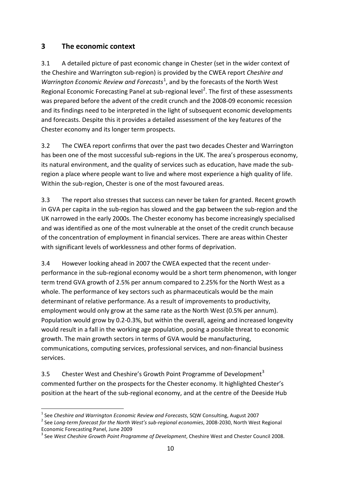## **3 The economic context**

3.1 A detailed picture of past economic change in Chester (set in the wider context of the Cheshire and Warrington sub-region) is provided by the CWEA report *Cheshire and*  Warrington Economic Review and Forecasts<sup>[1](#page-10-0)</sup>, and by the forecasts of the North West Regional Economic Forecasting Panel at sub-regional level<sup>[2](#page-10-1)</sup>. The first of these assessments was prepared before the advent of the credit crunch and the 2008-09 economic recession and its findings need to be interpreted in the light of subsequent economic developments and forecasts. Despite this it provides a detailed assessment of the key features of the Chester economy and its longer term prospects.

3.2 The CWEA report confirms that over the past two decades Chester and Warrington has been one of the most successful sub-regions in the UK. The area's prosperous economy, its natural environment, and the quality of services such as education, have made the subregion a place where people want to live and where most experience a high quality of life. Within the sub-region, Chester is one of the most favoured areas.

3.3 The report also stresses that success can never be taken for granted. Recent growth in GVA per capita in the sub-region has slowed and the gap between the sub-region and the UK narrowed in the early 2000s. The Chester economy has become increasingly specialised and was identified as one of the most vulnerable at the onset of the credit crunch because of the concentration of employment in financial services. There are areas within Chester with significant levels of worklessness and other forms of deprivation.

3.4 However looking ahead in 2007 the CWEA expected that the recent underperformance in the sub-regional economy would be a short term phenomenon, with longer term trend GVA growth of 2.5% per annum compared to 2.25% for the North West as a whole. The performance of key sectors such as pharmaceuticals would be the main determinant of relative performance. As a result of improvements to productivity, employment would only grow at the same rate as the North West (0.5% per annum). Population would grow by 0.2-0.3%, but within the overall, ageing and increased longevity would result in a fall in the working age population, posing a possible threat to economic growth. The main growth sectors in terms of GVA would be manufacturing, communications, computing services, professional services, and non-financial business services.

[3](#page-10-2).5 Chester West and Cheshire's Growth Point Programme of Development<sup>3</sup> commented further on the prospects for the Chester economy. It highlighted Chester's position at the heart of the sub-regional economy, and at the centre of the Deeside Hub

.

<span id="page-10-0"></span><sup>1</sup> See *Cheshire and Warrington Economic Review and Forecasts*, SQW Consulting, August 2007

<span id="page-10-1"></span><sup>2</sup> See *Long-term forecast for the North West's sub-regional economies*, 2008-2030, North West Regional Economic Forecasting Panel, June 2009

<span id="page-10-2"></span><sup>3</sup> See *West Cheshire Growth Point Programme of Development*, Cheshire West and Chester Council 2008.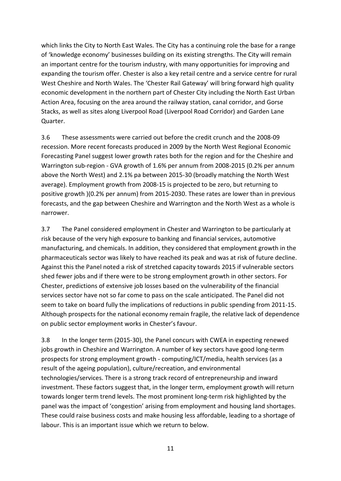which links the City to North East Wales. The City has a continuing role the base for a range of 'knowledge economy' businesses building on its existing strengths. The City will remain an important centre for the tourism industry, with many opportunities for improving and expanding the tourism offer. Chester is also a key retail centre and a service centre for rural West Cheshire and North Wales. The 'Chester Rail Gateway' will bring forward high quality economic development in the northern part of Chester City including the North East Urban Action Area, focusing on the area around the railway station, canal corridor, and Gorse Stacks, as well as sites along Liverpool Road (Liverpool Road Corridor) and Garden Lane Quarter.

3.6 These assessments were carried out before the credit crunch and the 2008-09 recession. More recent forecasts produced in 2009 by the North West Regional Economic Forecasting Panel suggest lower growth rates both for the region and for the Cheshire and Warrington sub-region - GVA growth of 1.6% per annum from 2008-2015 (0.2% per annum above the North West) and 2.1% pa between 2015-30 (broadly matching the North West average). Employment growth from 2008-15 is projected to be zero, but returning to positive growth )(0.2% per annum) from 2015-2030. These rates are lower than in previous forecasts, and the gap between Cheshire and Warrington and the North West as a whole is narrower.

3.7 The Panel considered employment in Chester and Warrington to be particularly at risk because of the very high exposure to banking and financial services, automotive manufacturing, and chemicals. In addition, they considered that employment growth in the pharmaceuticals sector was likely to have reached its peak and was at risk of future decline. Against this the Panel noted a risk of stretched capacity towards 2015 if vulnerable sectors shed fewer jobs and if there were to be strong employment growth in other sectors. For Chester, predictions of extensive job losses based on the vulnerability of the financial services sector have not so far come to pass on the scale anticipated. The Panel did not seem to take on board fully the implications of reductions in public spending from 2011-15. Although prospects for the national economy remain fragile, the relative lack of dependence on public sector employment works in Chester's favour.

3.8 In the longer term (2015-30), the Panel concurs with CWEA in expecting renewed jobs growth in Cheshire and Warrington. A number of key sectors have good long-term prospects for strong employment growth - computing/ICT/media, health services (as a result of the ageing population), culture/recreation, and environmental technologies/services. There is a strong track record of entrepreneurship and inward investment. These factors suggest that, in the longer term, employment growth will return towards longer term trend levels. The most prominent long-term risk highlighted by the panel was the impact of 'congestion' arising from employment and housing land shortages. These could raise business costs and make housing less affordable, leading to a shortage of labour. This is an important issue which we return to below.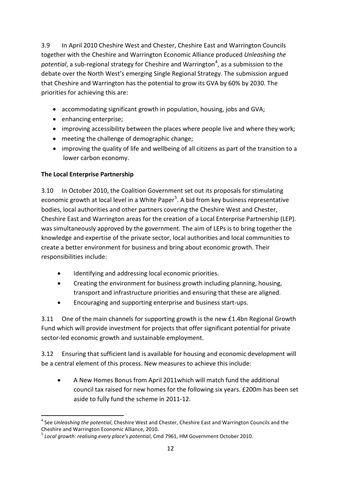3.9 In April 2010 Cheshire West and Chester, Cheshire East and Warrington Councils together with the Cheshire and Warrington Economic Alliance produced *Unleashing the*  potential, a sub-regional strategy for Cheshire and Warrington<sup>[4](#page-12-0)</sup>, as a submission to the debate over the North West's emerging Single Regional Strategy. The submission argued that Cheshire and Warrington has the potential to grow its GVA by 60% by 2030. The priorities for achieving this are:

- accommodating significant growth in population, housing, jobs and GVA;
- enhancing enterprise;
- improving accessibility between the places where people live and where they work;
- meeting the challenge of demographic change;
- improving the quality of life and wellbeing of all citizens as part of the transition to a lower carbon economy.

## **The Local Enterprise Partnership**

.

3.10 In October 2010, the Coalition Government set out its proposals for stimulating economic growth at local level in a White Paper<sup>[5](#page-12-1)</sup>. A bid from key business representative bodies, local authorities and other partners covering the Cheshire West and Chester, Cheshire East and Warrington areas for the creation of a Local Enterprise Partnership (LEP). was simultaneously approved by the government. The aim of LEPs is to bring together the knowledge and expertise of the private sector, local authorities and local communities to create a better environment for business and bring about economic growth. Their responsibilities include:

- Identifying and addressing local economic priorities.
- Creating the environment for business growth including planning, housing, transport and infrastructure priorities and ensuring that these are aligned.
- Encouraging and supporting enterprise and business start-ups.

3.11 One of the main channels for supporting growth is the new £1.4bn Regional Growth Fund which will provide investment for projects that offer significant potential for private sector-led economic growth and sustainable employment.

3.12 Ensuring that sufficient land is available for housing and economic development will be a central element of this process. New measures to achieve this include:

• A New Homes Bonus from April 2011which will match fund the additional council tax raised for new homes for the following six years. £200m has been set aside to fully fund the scheme in 2011-12.

<span id="page-12-0"></span><sup>4</sup> See *Unleashing the potential*, Cheshire West and Chester, Cheshire East and Warrington Councils and the Cheshire and Warrington Economic Alliance, 2010.

<span id="page-12-1"></span><sup>5</sup> *Local growth: realising every place's potential*, Cmd 7961, HM Government October 2010.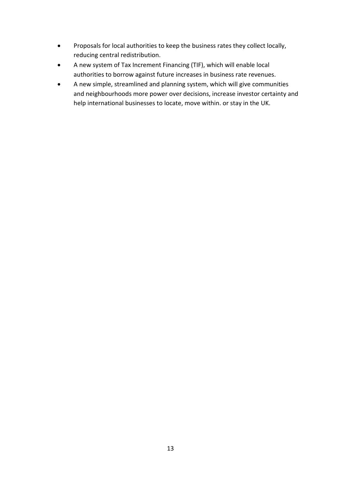- Proposals for local authorities to keep the business rates they collect locally, reducing central redistribution.
- A new system of Tax Increment Financing (TIF), which will enable local authorities to borrow against future increases in business rate revenues.
- A new simple, streamlined and planning system, which will give communities and neighbourhoods more power over decisions, increase investor certainty and help international businesses to locate, move within. or stay in the UK.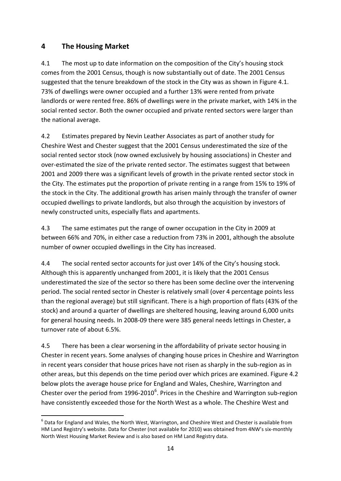## **4 The Housing Market**

.

4.1 The most up to date information on the composition of the City's housing stock comes from the 2001 Census, though is now substantially out of date. The 2001 Census suggested that the tenure breakdown of the stock in the City was as shown in Figure 4.1. 73% of dwellings were owner occupied and a further 13% were rented from private landlords or were rented free. 86% of dwellings were in the private market, with 14% in the social rented sector. Both the owner occupied and private rented sectors were larger than the national average.

4.2 Estimates prepared by Nevin Leather Associates as part of another study for Cheshire West and Chester suggest that the 2001 Census underestimated the size of the social rented sector stock (now owned exclusively by housing associations) in Chester and over-estimated the size of the private rented sector. The estimates suggest that between 2001 and 2009 there was a significant levels of growth in the private rented sector stock in the City. The estimates put the proportion of private renting in a range from 15% to 19% of the stock in the City. The additional growth has arisen mainly through the transfer of owner occupied dwellings to private landlords, but also through the acquisition by investors of newly constructed units, especially flats and apartments.

4.3 The same estimates put the range of owner occupation in the City in 2009 at between 66% and 70%, in either case a reduction from 73% in 2001, although the absolute number of owner occupied dwellings in the City has increased.

4.4 The social rented sector accounts for just over 14% of the City's housing stock. Although this is apparently unchanged from 2001, it is likely that the 2001 Census underestimated the size of the sector so there has been some decline over the intervening period. The social rented sector in Chester is relatively small (over 4 percentage points less than the regional average) but still significant. There is a high proportion of flats (43% of the stock) and around a quarter of dwellings are sheltered housing, leaving around 6,000 units for general housing needs. In 2008-09 there were 385 general needs lettings in Chester, a turnover rate of about 6.5%.

4.5 There has been a clear worsening in the affordability of private sector housing in Chester in recent years. Some analyses of changing house prices in Cheshire and Warrington in recent years consider that house prices have not risen as sharply in the sub-region as in other areas, but this depends on the time period over which prices are examined. Figure 4.2 below plots the average house price for England and Wales, Cheshire, Warrington and Chester over the period from  $1996$  $1996$ -2010<sup>6</sup>. Prices in the Cheshire and Warrington sub-region have consistently exceeded those for the North West as a whole. The Cheshire West and

<span id="page-14-0"></span> $^6$  Data for England and Wales, the North West, Warrington, and Cheshire West and Chester is available from HM Land Registry's website. Data for Chester (not available for 2010) was obtained from 4NW's six-monthly North West Housing Market Review and is also based on HM Land Registry data.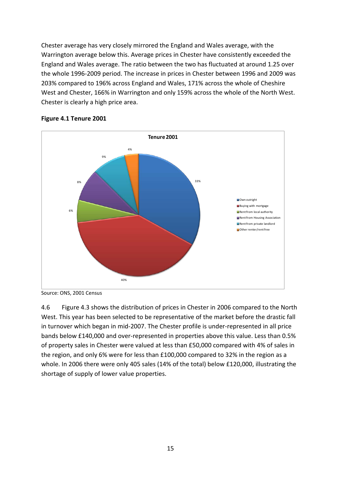Chester average has very closely mirrored the England and Wales average, with the Warrington average below this. Average prices in Chester have consistently exceeded the England and Wales average. The ratio between the two has fluctuated at around 1.25 over the whole 1996-2009 period. The increase in prices in Chester between 1996 and 2009 was 203% compared to 196% across England and Wales, 171% across the whole of Cheshire West and Chester, 166% in Warrington and only 159% across the whole of the North West. Chester is clearly a high price area.



## **Figure 4.1 Tenure 2001**

Source: ONS, 2001 Census

4.6 Figure 4.3 shows the distribution of prices in Chester in 2006 compared to the North West. This year has been selected to be representative of the market before the drastic fall in turnover which began in mid-2007. The Chester profile is under-represented in all price bands below £140,000 and over-represented in properties above this value. Less than 0.5% of property sales in Chester were valued at less than £50,000 compared with 4% of sales in the region, and only 6% were for less than £100,000 compared to 32% in the region as a whole. In 2006 there were only 405 sales (14% of the total) below £120,000, illustrating the shortage of supply of lower value properties.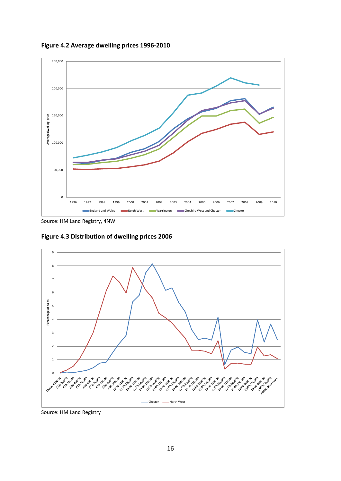

**Figure 4.2 Average dwelling prices 1996-2010**

Source: HM Land Registry, 4NW

**Figure 4.3 Distribution of dwelling prices 2006** 



Source: HM Land Registry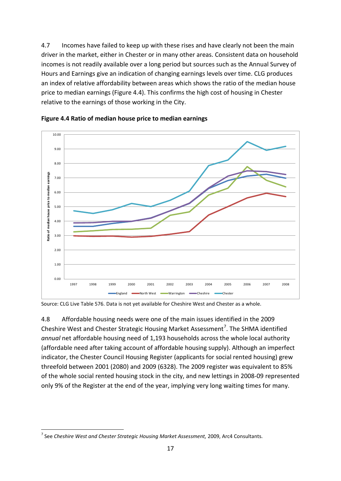4.7 Incomes have failed to keep up with these rises and have clearly not been the main driver in the market, either in Chester or in many other areas. Consistent data on household incomes is not readily available over a long period but sources such as the Annual Survey of Hours and Earnings give an indication of changing earnings levels over time. CLG produces an index of relative affordability between areas which shows the ratio of the median house price to median earnings (Figure 4.4). This confirms the high cost of housing in Chester relative to the earnings of those working in the City.



**Figure 4.4 Ratio of median house price to median earnings**

Source: CLG Live Table 576. Data is not yet available for Cheshire West and Chester as a whole.

4.8 Affordable housing needs were one of the main issues identified in the 2009 Cheshire West and Chester Strategic Housing Market Assessment<sup>[7](#page-17-0)</sup>. The SHMA identified *annual* net affordable housing need of 1,193 households across the whole local authority (affordable need after taking account of affordable housing supply). Although an imperfect indicator, the Chester Council Housing Register (applicants for social rented housing) grew threefold between 2001 (2080) and 2009 (6328). The 2009 register was equivalent to 85% of the whole social rented housing stock in the city, and new lettings in 2008-09 represented only 9% of the Register at the end of the year, implying very long waiting times for many.

.

<span id="page-17-0"></span><sup>7</sup> See *Cheshire West and Chester Strategic Housing Market Assessment,* 2009, Arc4 Consultants.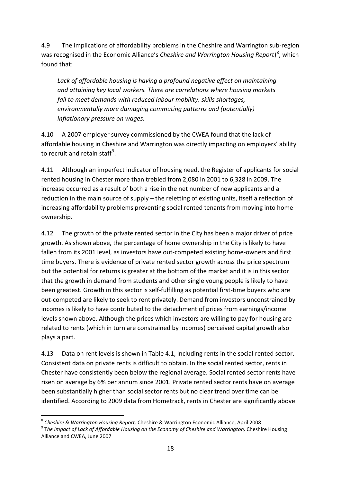4.9 The implications of affordability problems in the Cheshire and Warrington sub-region was recognised in the Economic Alliance's *Cheshire and Warrington Housing Report*)<sup>[8](#page-18-0)</sup>, which found that:

*Lack of affordable housing is having a profound negative effect on maintaining and attaining key local workers. There are correlations where housing markets fail to meet demands with reduced labour mobility, skills shortages, environmentally more damaging commuting patterns and (potentially) inflationary pressure on wages.* 

4.10 A 2007 employer survey commissioned by the CWEA found that the lack of affordable housing in Cheshire and Warrington was directly impacting on employers' ability to recruit and retain staff<sup>[9](#page-18-1)</sup>.

4.11 Although an imperfect indicator of housing need, the Register of applicants for social rented housing in Chester more than trebled from 2,080 in 2001 to 6,328 in 2009. The increase occurred as a result of both a rise in the net number of new applicants and a reduction in the main source of supply – the reletting of existing units, itself a reflection of increasing affordability problems preventing social rented tenants from moving into home ownership.

4.12 The growth of the private rented sector in the City has been a major driver of price growth. As shown above, the percentage of home ownership in the City is likely to have fallen from its 2001 level, as investors have out-competed existing home-owners and first time buyers. There is evidence of private rented sector growth across the price spectrum but the potential for returns is greater at the bottom of the market and it is in this sector that the growth in demand from students and other single young people is likely to have been greatest. Growth in this sector is self-fulfilling as potential first-time buyers who are out-competed are likely to seek to rent privately. Demand from investors unconstrained by incomes is likely to have contributed to the detachment of prices from earnings/income levels shown above. Although the prices which investors are willing to pay for housing are related to rents (which in turn are constrained by incomes) perceived capital growth also plays a part.

4.13 Data on rent levels is shown in Table 4.1, including rents in the social rented sector. Consistent data on private rents is difficult to obtain. In the social rented sector, rents in Chester have consistently been below the regional average. Social rented sector rents have risen on average by 6% per annum since 2001. Private rented sector rents have on average been substantially higher than social sector rents but no clear trend over time can be identified. According to 2009 data from Hometrack, rents in Chester are significantly above

.

<span id="page-18-0"></span><sup>8</sup> *Cheshire & Warrington Housing Report,* Cheshire & Warrington Economic Alliance, April 2008

<span id="page-18-1"></span><sup>&</sup>lt;sup>9</sup> The Impact of Lack of Affordable Housing on the Economy of Cheshire and Warrington, Cheshire Housing Alliance and CWEA, June 2007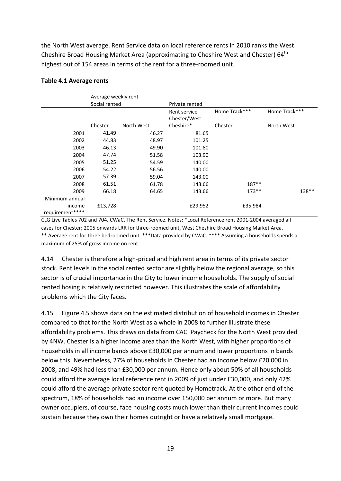the North West average. Rent Service data on local reference rents in 2010 ranks the West Cheshire Broad Housing Market Area (approximating to Cheshire West and Chester) 64<sup>th</sup> highest out of 154 areas in terms of the rent for a three-roomed unit.

|                 | Average weekly rent |            |                |               |               |
|-----------------|---------------------|------------|----------------|---------------|---------------|
|                 | Social rented       |            | Private rented |               |               |
|                 |                     |            | Rent service   | Home Track*** | Home Track*** |
|                 |                     |            | Chester/West   |               |               |
|                 | Chester             | North West | Cheshire*      | Chester       | North West    |
| 2001            | 41.49               | 46.27      | 81.65          |               |               |
| 2002            | 44.83               | 48.97      | 101.25         |               |               |
| 2003            | 46.13               | 49.90      | 101.80         |               |               |
| 2004            | 47.74               | 51.58      | 103.90         |               |               |
| 2005            | 51.25               | 54.59      | 140.00         |               |               |
| 2006            | 54.22               | 56.56      | 140.00         |               |               |
| 2007            | 57.39               | 59.04      | 143.00         |               |               |
| 2008            | 61.51               | 61.78      | 143.66         | $187**$       |               |
| 2009            | 66.18               | 64.65      | 143.66         | $173**$       | 138**         |
| Minimum annual  |                     |            |                |               |               |
| income          | £13,728             |            | £29,952        | £35,984       |               |
| requirement**** |                     |            |                |               |               |

## **Table 4.1 Average rents**

CLG Live Tables 702 and 704, CWaC, The Rent Service. Notes: \*Local Reference rent 2001-2004 averaged all cases for Chester; 2005 onwards LRR for three-roomed unit, West Cheshire Broad Housing Market Area. \*\* Average rent for three bedroomed unit. \*\*\*Data provided by CWaC. \*\*\*\* Assuming a households spends a maximum of 25% of gross income on rent.

4.14 Chester is therefore a high-priced and high rent area in terms of its private sector stock. Rent levels in the social rented sector are slightly below the regional average, so this sector is of crucial importance in the City to lower income households. The supply of social rented hosing is relatively restricted however. This illustrates the scale of affordability problems which the City faces.

4.15 Figure 4.5 shows data on the estimated distribution of household incomes in Chester compared to that for the North West as a whole in 2008 to further illustrate these affordability problems. This draws on data from CACI Paycheck for the North West provided by 4NW. Chester is a higher income area than the North West, with higher proportions of households in all income bands above £30,000 per annum and lower proportions in bands below this. Nevertheless, 27% of households in Chester had an income below £20,000 in 2008, and 49% had less than £30,000 per annum. Hence only about 50% of all households could afford the average local reference rent in 2009 of just under £30,000, and only 42% could afford the average private sector rent quoted by Hometrack. At the other end of the spectrum, 18% of households had an income over £50,000 per annum or more. But many owner occupiers, of course, face housing costs much lower than their current incomes could sustain because they own their homes outright or have a relatively small mortgage.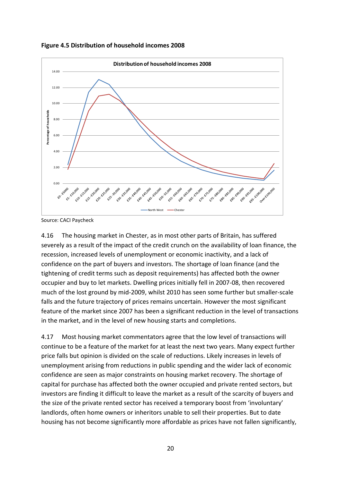



Source: CACI Paycheck

4.16 The housing market in Chester, as in most other parts of Britain, has suffered severely as a result of the impact of the credit crunch on the availability of loan finance, the recession, increased levels of unemployment or economic inactivity, and a lack of confidence on the part of buyers and investors. The shortage of loan finance (and the tightening of credit terms such as deposit requirements) has affected both the owner occupier and buy to let markets. Dwelling prices initially fell in 2007-08, then recovered much of the lost ground by mid-2009, whilst 2010 has seen some further but smaller-scale falls and the future trajectory of prices remains uncertain. However the most significant feature of the market since 2007 has been a significant reduction in the level of transactions in the market, and in the level of new housing starts and completions.

4.17 Most housing market commentators agree that the low level of transactions will continue to be a feature of the market for at least the next two years. Many expect further price falls but opinion is divided on the scale of reductions. Likely increases in levels of unemployment arising from reductions in public spending and the wider lack of economic confidence are seen as major constraints on housing market recovery. The shortage of capital for purchase has affected both the owner occupied and private rented sectors, but investors are finding it difficult to leave the market as a result of the scarcity of buyers and the size of the private rented sector has received a temporary boost from 'involuntary' landlords, often home owners or inheritors unable to sell their properties. But to date housing has not become significantly more affordable as prices have not fallen significantly,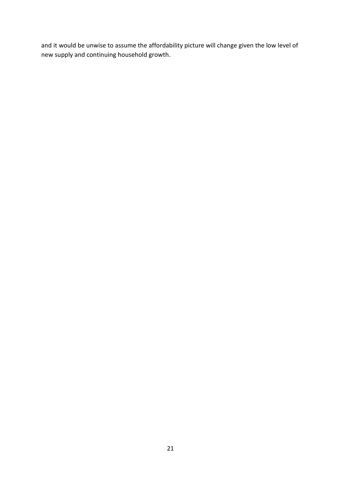and it would be unwise to assume the affordability picture will change given the low level of new supply and continuing household growth.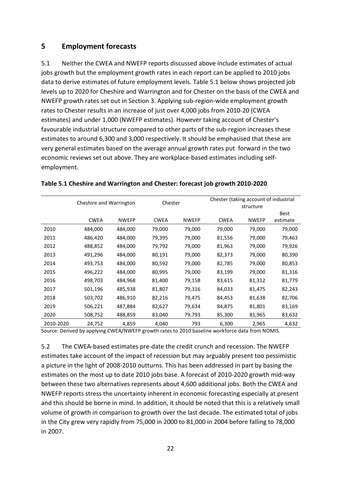## **5 Employment forecasts**

5.1 Neither the CWEA and NWEFP reports discussed above include estimates of actual jobs growth but the employment growth rates in each report can be applied to 2010 jobs data to derive estimates of future employment levels. Table 5.1 below shows projected job levels up to 2020 for Cheshire and Warrington and for Chester on the basis of the CWEA and NWEFP growth rates set out in Section 3. Applying sub-region-wide employment growth rates to Chester results in an increase of just over 4,000 jobs from 2010-20 (CWEA estimates) and under 1,000 (NWEFP estimates). However taking account of Chester's favourable industrial structure compared to other parts of the sub-region increases these estimates to around 6,300 and 3,000 respectively. It should be emphasised that these are very general estimates based on the average annual growth rates put forward in the two economic reviews set out above. They are workplace-based estimates including selfemployment.

|           |             | Cheshire and Warrington<br>Chester |             |              |             | Chester (taking account of industrial<br>structure |             |  |  |
|-----------|-------------|------------------------------------|-------------|--------------|-------------|----------------------------------------------------|-------------|--|--|
|           |             |                                    |             |              |             |                                                    | <b>Best</b> |  |  |
|           | <b>CWEA</b> | <b>NWEFP</b>                       | <b>CWEA</b> | <b>NWEFP</b> | <b>CWEA</b> | <b>NWEFP</b>                                       | estimate    |  |  |
| 2010      | 484,000     | 484,000                            | 79,000      | 79,000       | 79,000      | 79,000                                             | 79,000      |  |  |
| 2011      | 486,420     | 484,000                            | 79,395      | 79,000       | 81,556      | 79,000                                             | 79,463      |  |  |
| 2012      | 488,852     | 484,000                            | 79,792      | 79,000       | 81,963      | 79,000                                             | 79,926      |  |  |
| 2013      | 491,296     | 484,000                            | 80,191      | 79,000       | 82,373      | 79,000                                             | 80,390      |  |  |
| 2014      | 493,753     | 484,000                            | 80,592      | 79,000       | 82,785      | 79,000                                             | 80,853      |  |  |
| 2015      | 496,222     | 484,000                            | 80,995      | 79,000       | 83,199      | 79,000                                             | 81,316      |  |  |
| 2016      | 498,703     | 484,968                            | 81,400      | 79,158       | 83,615      | 81,312                                             | 81,779      |  |  |
| 2017      | 501,196     | 485,938                            | 81,807      | 79,316       | 84,033      | 81,475                                             | 82,243      |  |  |
| 2018      | 503,702     | 486,910                            | 82,216      | 79,475       | 84,453      | 81,638                                             | 82,706      |  |  |
| 2019      | 506,221     | 487,884                            | 82,627      | 79,634       | 84,875      | 81,801                                             | 83,169      |  |  |
| 2020      | 508,752     | 488,859                            | 83,040      | 79,793       | 85,300      | 81,965                                             | 83,632      |  |  |
| 2010-2020 | 24,752      | 4,859                              | 4,040       | 793          | 6,300       | 2,965                                              | 4,632       |  |  |

## **Table 5.1 Cheshire and Warrington and Chester: forecast job growth 2010-2020**

Source: Derived by applying CWEA/NWEFP growth rates to 2010 baseline workforce data from NOMIS.

5.2 The CWEA-based estimates pre-date the credit crunch and recession. The NWEFP estimates take account of the impact of recession but may arguably present too pessimistic a picture in the light of 2008-2010 outturns. This has been addressed in part by basing the estimates on the most up to date 2010 jobs base. A forecast of 2010-2020 growth mid-way between these two alternatives represents about 4,600 additional jobs. Both the CWEA and NWEFP reports stress the uncertainty inherent in economic forecasting especially at present and this should be borne in mind. In addition, it should be noted that this is a relatively small volume of growth in comparison to growth over the last decade. The estimated total of jobs in the City grew very rapidly from 75,000 in 2000 to 81,000 in 2004 before falling to 78,000 in 2007.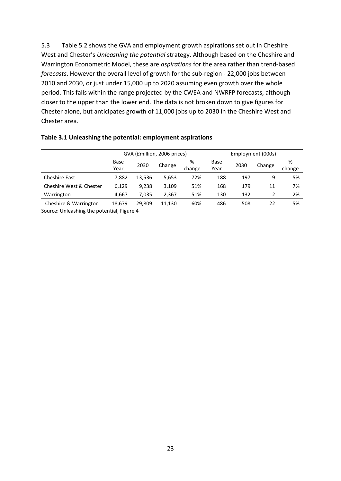5.3 Table 5.2 shows the GVA and employment growth aspirations set out in Cheshire West and Chester's *Unleashing the potential* strategy. Although based on the Cheshire and Warrington Econometric Model, these are *aspirations* for the area rather than trend-based *forecasts*. However the overall level of growth for the sub-region - 22,000 jobs between 2010 and 2030, or just under 15,000 up to 2020 assuming even growth over the whole period. This falls within the range projected by the CWEA and NWRFP forecasts, although closer to the upper than the lower end. The data is not broken down to give figures for Chester alone, but anticipates growth of 11,000 jobs up to 2030 in the Cheshire West and Chester area.

|                         |                           |        | GVA (£million, 2006 prices) |        |      | Employment (000s) |        |        |
|-------------------------|---------------------------|--------|-----------------------------|--------|------|-------------------|--------|--------|
|                         | %<br>Base<br>Base<br>2030 |        |                             |        |      | 2030              | Change | %      |
|                         | Year                      |        | Change                      | change | Year |                   |        | change |
| <b>Cheshire East</b>    | 7,882                     | 13,536 | 5,653                       | 72%    | 188  | 197               | 9      | 5%     |
| Cheshire West & Chester | 6.129                     | 9.238  | 3,109                       | 51%    | 168  | 179               | 11     | 7%     |
| Warrington              | 4,667                     | 7,035  | 2,367                       | 51%    | 130  | 132               |        | 2%     |
| Cheshire & Warrington   | 18,679                    | 29,809 | 11,130                      | 60%    | 486  | 508               | 22     | 5%     |
|                         |                           |        |                             |        |      |                   |        |        |

### **Table 3.1 Unleashing the potential: employment aspirations**

Source: Unleashing the potential, Figure 4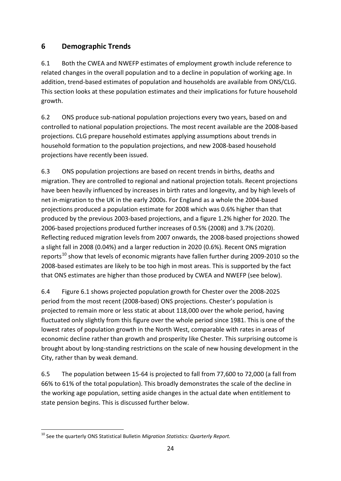# **6 Demographic Trends**

6.1 Both the CWEA and NWEFP estimates of employment growth include reference to related changes in the overall population and to a decline in population of working age. In addition, trend-based estimates of population and households are available from ONS/CLG. This section looks at these population estimates and their implications for future household growth.

6.2 ONS produce sub-national population projections every two years, based on and controlled to national population projections. The most recent available are the 2008-based projections. CLG prepare household estimates applying assumptions about trends in household formation to the population projections, and new 2008-based household projections have recently been issued.

6.3 ONS population projections are based on recent trends in births, deaths and migration. They are controlled to regional and national projection totals. Recent projections have been heavily influenced by increases in birth rates and longevity, and by high levels of net in-migration to the UK in the early 2000s. For England as a whole the 2004-based projections produced a population estimate for 2008 which was 0.6% higher than that produced by the previous 2003-based projections, and a figure 1.2% higher for 2020. The 2006-based projections produced further increases of 0.5% (2008) and 3.7% (2020). Reflecting reduced migration levels from 2007 onwards, the 2008-based projections showed a slight fall in 2008 (0.04%) and a larger reduction in 2020 (0.6%). Recent ONS migration reports<sup>[10](#page-24-0)</sup> show that levels of economic migrants have fallen further during 2009-2010 so the 2008-based estimates are likely to be too high in most areas. This is supported by the fact that ONS estimates are higher than those produced by CWEA and NWEFP (see below).

6.4 Figure 6.1 shows projected population growth for Chester over the 2008-2025 period from the most recent (2008-based) ONS projections. Chester's population is projected to remain more or less static at about 118,000 over the whole period, having fluctuated only slightly from this figure over the whole period since 1981. This is one of the lowest rates of population growth in the North West, comparable with rates in areas of economic decline rather than growth and prosperity like Chester. This surprising outcome is brought about by long-standing restrictions on the scale of new housing development in the City, rather than by weak demand.

6.5 The population between 15-64 is projected to fall from 77,600 to 72,000 (a fall from 66% to 61% of the total population). This broadly demonstrates the scale of the decline in the working age population, setting aside changes in the actual date when entitlement to state pension begins. This is discussed further below.

<span id="page-24-0"></span><sup>.</sup> <sup>10</sup> See the quarterly ONS Statistical Bulletin *Migration Statistics: Quarterly Report.*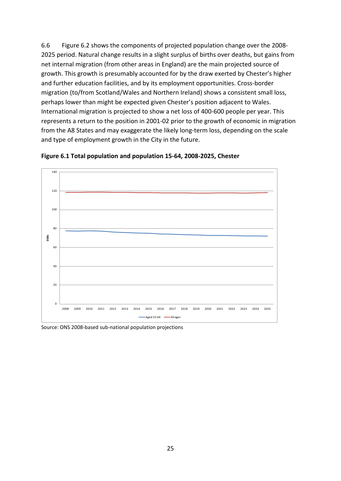6.6 Figure 6.2 shows the components of projected population change over the 2008- 2025 period. Natural change results in a slight surplus of births over deaths, but gains from net internal migration (from other areas in England) are the main projected source of growth. This growth is presumably accounted for by the draw exerted by Chester's higher and further education facilities, and by its employment opportunities. Cross-border migration (to/from Scotland/Wales and Northern Ireland) shows a consistent small loss, perhaps lower than might be expected given Chester's position adjacent to Wales. International migration is projected to show a net loss of 400-600 people per year. This represents a return to the position in 2001-02 prior to the growth of economic in migration from the A8 States and may exaggerate the likely long-term loss, depending on the scale and type of employment growth in the City in the future.





Source: ONS 2008-based sub-national population projections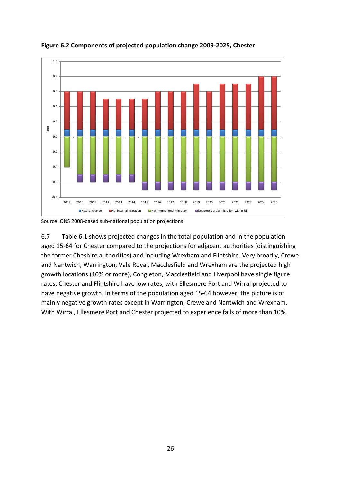

**Figure 6.2 Components of projected population change 2009-2025, Chester**

Source: ONS 2008-based sub-national population projections

6.7 Table 6.1 shows projected changes in the total population and in the population aged 15-64 for Chester compared to the projections for adjacent authorities (distinguishing the former Cheshire authorities) and including Wrexham and Flintshire. Very broadly, Crewe and Nantwich, Warrington, Vale Royal, Macclesfield and Wrexham are the projected high growth locations (10% or more), Congleton, Macclesfield and Liverpool have single figure rates, Chester and Flintshire have low rates, with Ellesmere Port and Wirral projected to have negative growth. In terms of the population aged 15-64 however, the picture is of mainly negative growth rates except in Warrington, Crewe and Nantwich and Wrexham. With Wirral, Ellesmere Port and Chester projected to experience falls of more than 10%.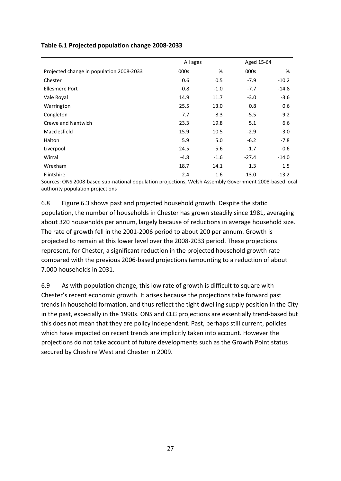| Table 6.1 Projected population change 2008-2033 |  |  |  |  |  |
|-------------------------------------------------|--|--|--|--|--|
|-------------------------------------------------|--|--|--|--|--|

|                                          | All ages |        | Aged 15-64 |         |
|------------------------------------------|----------|--------|------------|---------|
| Projected change in population 2008-2033 | 000s     | %      | 000s       | %       |
| Chester                                  | 0.6      | 0.5    | $-7.9$     | $-10.2$ |
| Ellesmere Port                           | $-0.8$   | $-1.0$ | $-7.7$     | $-14.8$ |
| Vale Royal                               | 14.9     | 11.7   | $-3.0$     | $-3.6$  |
| Warrington                               | 25.5     | 13.0   | 0.8        | 0.6     |
| Congleton                                | 7.7      | 8.3    | $-5.5$     | $-9.2$  |
| Crewe and Nantwich                       | 23.3     | 19.8   | 5.1        | 6.6     |
| Macclesfield                             | 15.9     | 10.5   | $-2.9$     | $-3.0$  |
| Halton                                   | 5.9      | 5.0    | $-6.2$     | $-7.8$  |
| Liverpool                                | 24.5     | 5.6    | $-1.7$     | $-0.6$  |
| Wirral                                   | $-4.8$   | $-1.6$ | $-27.4$    | $-14.0$ |
| Wrexham                                  | 18.7     | 14.1   | 1.3        | 1.5     |
| Flintshire                               | 2.4      | 1.6    | $-13.0$    | $-13.2$ |

Sources: ONS 2008-based sub-national population projections, Welsh Assembly Government 2008-based local authority population projections

6.8 Figure 6.3 shows past and projected household growth. Despite the static population, the number of households in Chester has grown steadily since 1981, averaging about 320 households per annum, largely because of reductions in average household size. The rate of growth fell in the 2001-2006 period to about 200 per annum. Growth is projected to remain at this lower level over the 2008-2033 period. These projections represent, for Chester, a significant reduction in the projected household growth rate compared with the previous 2006-based projections (amounting to a reduction of about 7,000 households in 2031.

6.9 As with population change, this low rate of growth is difficult to square with Chester's recent economic growth. It arises because the projections take forward past trends in household formation, and thus reflect the tight dwelling supply position in the City in the past, especially in the 1990s. ONS and CLG projections are essentially trend-based but this does not mean that they are policy independent. Past, perhaps still current, policies which have impacted on recent trends are implicitly taken into account. However the projections do not take account of future developments such as the Growth Point status secured by Cheshire West and Chester in 2009.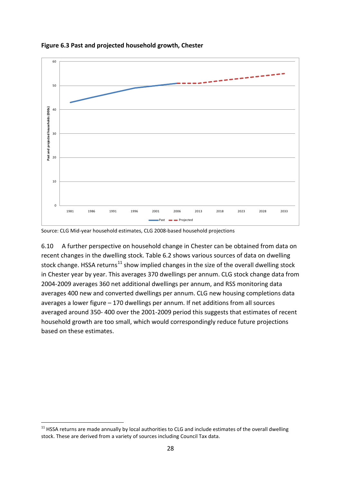

**Figure 6.3 Past and projected household growth, Chester**

Source: CLG Mid-year household estimates, CLG 2008-based household projections

6.10 A further perspective on household change in Chester can be obtained from data on recent changes in the dwelling stock. Table 6.2 shows various sources of data on dwelling stock change. HSSA returns<sup>[11](#page-28-0)</sup> show implied changes in the size of the overall dwelling stock in Chester year by year. This averages 370 dwellings per annum. CLG stock change data from 2004-2009 averages 360 net additional dwellings per annum, and RSS monitoring data averages 400 new and converted dwellings per annum. CLG new housing completions data averages a lower figure – 170 dwellings per annum. If net additions from all sources averaged around 350- 400 over the 2001-2009 period this suggests that estimates of recent household growth are too small, which would correspondingly reduce future projections based on these estimates.

.

<span id="page-28-0"></span> $11$  HSSA returns are made annually by local authorities to CLG and include estimates of the overall dwelling stock. These are derived from a variety of sources including Council Tax data.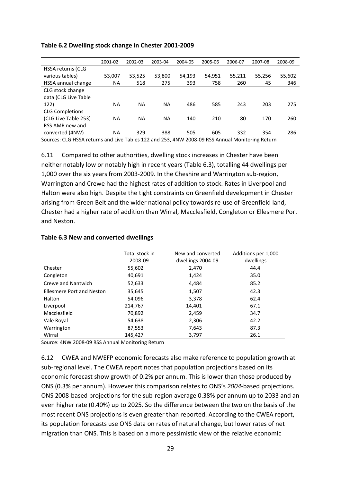|                          | 2001-02 | 2002-03 | 2003-04 | 2004-05 | 2005-06 | 2006-07 | 2007-08 | 2008-09 |
|--------------------------|---------|---------|---------|---------|---------|---------|---------|---------|
| <b>HSSA returns (CLG</b> |         |         |         |         |         |         |         |         |
| various tables)          | 53,007  | 53,525  | 53,800  | 54,193  | 54,951  | 55,211  | 55,256  | 55,602  |
| HSSA annual change       | ΝA      | 518     | 275     | 393     | 758     | 260     | 45      | 346     |
| CLG stock change         |         |         |         |         |         |         |         |         |
| data (CLG Live Table     |         |         |         |         |         |         |         |         |
| 122)                     | ΝA      | ΝA      | ΝA      | 486     | 585     | 243     | 203     | 275     |
| <b>CLG Completions</b>   |         |         |         |         |         |         |         |         |
| (CLG Live Table 253)     | ΝA      | ΝA      | ΝA      | 140     | 210     | 80      | 170     | 260     |
| RSS AMR new and          |         |         |         |         |         |         |         |         |
| converted (4NW)          | ΝA      | 329     | 388     | 505     | 605     | 332     | 354     | 286     |

#### **Table 6.2 Dwelling stock change in Chester 2001-2009**

Sources: CLG HSSA returns and Live Tables 122 and 253, 4NW 2008-09 RSS Annual Monitoring Return

6.11 Compared to other authorities, dwelling stock increases in Chester have been neither notably low or notably high in recent years (Table 6.3), totalling 44 dwellings per 1,000 over the six years from 2003-2009. In the Cheshire and Warrington sub-region, Warrington and Crewe had the highest rates of addition to stock. Rates in Liverpool and Halton were also high. Despite the tight constraints on Greenfield development in Chester arising from Green Belt and the wider national policy towards re-use of Greenfield land, Chester had a higher rate of addition than Wirral, Macclesfield, Congleton or Ellesmere Port and Neston.

#### **Table 6.3 New and converted dwellings**

|                                  | Total stock in | New and converted | Additions per 1,000 |
|----------------------------------|----------------|-------------------|---------------------|
|                                  | 2008-09        | dwellings 2004-09 | dwellings           |
| Chester                          | 55,602         | 2,470             | 44.4                |
| Congleton                        | 40,691         | 1,424             | 35.0                |
| Crewe and Nantwich               | 52,633         | 4,484             | 85.2                |
| <b>Ellesmere Port and Neston</b> | 35,645         | 1,507             | 42.3                |
| Halton                           | 54,096         | 3,378             | 62.4                |
| Liverpool                        | 214,767        | 14,401            | 67.1                |
| Macclesfield                     | 70,892         | 2,459             | 34.7                |
| Vale Royal                       | 54,638         | 2,306             | 42.2                |
| Warrington                       | 87,553         | 7,643             | 87.3                |
| Wirral                           | 145,427        | 3,797             | 26.1                |

Source: 4NW 2008-09 RSS Annual Monitoring Return

6.12 CWEA and NWEFP economic forecasts also make reference to population growth at sub-regional level. The CWEA report notes that population projections based on its economic forecast show growth of 0.2% per annum. This is lower than those produced by ONS (0.3% per annum). However this comparison relates to ONS's *2004*-based projections. ONS 2008-based projections for the sub-region average 0.38% per annum up to 2033 and an even higher rate (0.40%) up to 2025. So the difference between the two on the basis of the most recent ONS projections is even greater than reported. According to the CWEA report, its population forecasts use ONS data on rates of natural change, but lower rates of net migration than ONS. This is based on a more pessimistic view of the relative economic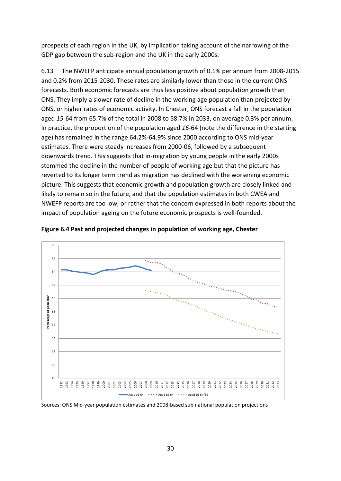prospects of each region in the UK, by implication taking account of the narrowing of the GDP gap between the sub-region and the UK in the early 2000s.

6.13 The NWEFP anticipate annual population growth of 0.1% per annum from 2008-2015 and 0.2% from 2015-2030. These rates are similarly lower than those in the current ONS forecasts. Both economic forecasts are thus less positive about population growth than ONS. They imply a slower rate of decline in the working age population than projected by ONS, or higher rates of economic activity. In Chester, ONS forecast a fall in the population aged *15*-64 from 65.7% of the total in 2008 to 58.7% in 2033, on average 0.3% per annum. In practice, the proportion of the population aged *16*-64 (note the difference in the starting age) has remained in the range 64.2%-64.9% since 2000 according to ONS mid-year estimates. There were steady increases from 2000-06, followed by a subsequent downwards trend. This suggests that in-migration by young people in the early 2000s stemmed the decline in the number of people of working age but that the picture has reverted to its longer term trend as migration has declined with the worsening economic picture. This suggests that economic growth and population growth are closely linked and likely to remain so in the future, and that the population estimates in both CWEA and NWEFP reports are too low, or rather that the concern expressed in both reports about the impact of population ageing on the future economic prospects is well-founded.





Sources: ONS Mid-year population estimates and 2008-based sub national population projections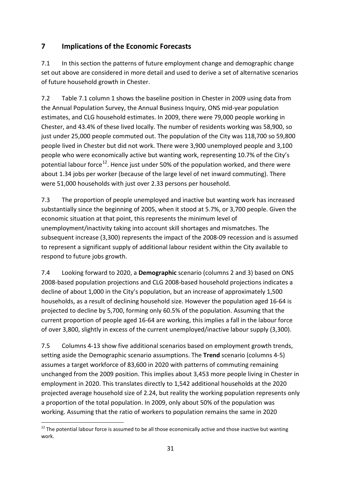# **7 Implications of the Economic Forecasts**

7.1 In this section the patterns of future employment change and demographic change set out above are considered in more detail and used to derive a set of alternative scenarios of future household growth in Chester.

7.2 Table 7.1 column 1 shows the baseline position in Chester in 2009 using data from the Annual Population Survey, the Annual Business Inquiry, ONS mid-year population estimates, and CLG household estimates. In 2009, there were 79,000 people working in Chester, and 43.4% of these lived locally. The number of residents working was 58,900, so just under 25,000 people commuted out. The population of the City was 118,700 so 59,800 people lived in Chester but did not work. There were 3,900 unemployed people and 3,100 people who were economically active but wanting work, representing 10.7% of the City's potential labour force<sup>[12](#page-31-0)</sup>. Hence just under 50% of the population worked, and there were about 1.34 jobs per worker (because of the large level of net inward commuting). There were 51,000 households with just over 2.33 persons per household.

7.3 The proportion of people unemployed and inactive but wanting work has increased substantially since the beginning of 2005, when it stood at 5.7%, or 3,700 people. Given the economic situation at that point, this represents the minimum level of unemployment/inactivity taking into account skill shortages and mismatches. The subsequent increase (3,300) represents the impact of the 2008-09 recession and is assumed to represent a significant supply of additional labour resident within the City available to respond to future jobs growth.

7.4 Looking forward to 2020, a **Demographic** scenario (columns 2 and 3) based on ONS 2008-based population projections and CLG 2008-based household projections indicates a decline of about 1,000 in the City's population, but an increase of approximately 1,500 households, as a result of declining household size. However the population aged 16-64 is projected to decline by 5,700, forming only 60.5% of the population. Assuming that the current proportion of people aged 16-64 are working, this implies a fall in the labour force of over 3,800, slightly in excess of the current unemployed/inactive labour supply (3,300).

7.5 Columns 4-13 show five additional scenarios based on employment growth trends, setting aside the Demographic scenario assumptions. The **Trend** scenario (columns 4-5) assumes a target workforce of 83,600 in 2020 with patterns of commuting remaining unchanged from the 2009 position. This implies about 3,453 more people living in Chester in employment in 2020. This translates directly to 1,542 additional households at the 2020 projected average household size of 2.24, but reality the working population represents only a proportion of the total population. In 2009, only about 50% of the population was working. Assuming that the ratio of workers to population remains the same in 2020

.

<span id="page-31-0"></span> $12$  The potential labour force is assumed to be all those economically active and those inactive but wanting work.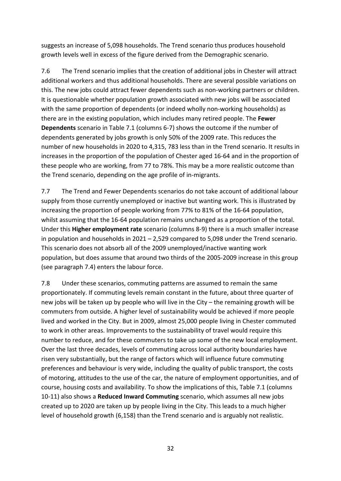suggests an increase of 5,098 households. The Trend scenario thus produces household growth levels well in excess of the figure derived from the Demographic scenario.

7.6 The Trend scenario implies that the creation of additional jobs in Chester will attract additional workers and thus additional households. There are several possible variations on this. The new jobs could attract fewer dependents such as non-working partners or children. It is questionable whether population growth associated with new jobs will be associated with the same proportion of dependents (or indeed wholly non-working households) as there are in the existing population, which includes many retired people. The **Fewer Dependents** scenario in Table 7.1 (columns 6-7) shows the outcome if the number of dependents generated by jobs growth is only 50% of the 2009 rate. This reduces the number of new households in 2020 to 4,315, 783 less than in the Trend scenario. It results in increases in the proportion of the population of Chester aged 16-64 and in the proportion of these people who are working, from 77 to 78%. This may be a more realistic outcome than the Trend scenario, depending on the age profile of in-migrants.

7.7 The Trend and Fewer Dependents scenarios do not take account of additional labour supply from those currently unemployed or inactive but wanting work. This is illustrated by increasing the proportion of people working from 77% to 81% of the 16-64 population, whilst assuming that the 16-64 population remains unchanged as a proportion of the total. Under this **Higher employment rate** scenario (columns 8-9) there is a much smaller increase in population and households in  $2021 - 2,529$  compared to 5,098 under the Trend scenario. This scenario does not absorb all of the 2009 unemployed/inactive wanting work population, but does assume that around two thirds of the 2005-2009 increase in this group (see paragraph 7.4) enters the labour force.

7.8 Under these scenarios, commuting patterns are assumed to remain the same proportionately. If commuting levels remain constant in the future, about three quarter of new jobs will be taken up by people who will live in the City – the remaining growth will be commuters from outside. A higher level of sustainability would be achieved if more people lived and worked in the City. But in 2009, almost 25,000 people living in Chester commuted to work in other areas. Improvements to the sustainability of travel would require this number to reduce, and for these commuters to take up some of the new local employment. Over the last three decades, levels of commuting across local authority boundaries have risen very substantially, but the range of factors which will influence future commuting preferences and behaviour is very wide, including the quality of public transport, the costs of motoring, attitudes to the use of the car, the nature of employment opportunities, and of course, housing costs and availability. To show the implications of this, Table 7.1 (columns 10-11) also shows a **Reduced Inward Commuting** scenario, which assumes all new jobs created up to 2020 are taken up by people living in the City. This leads to a much higher level of household growth (6,158) than the Trend scenario and is arguably not realistic.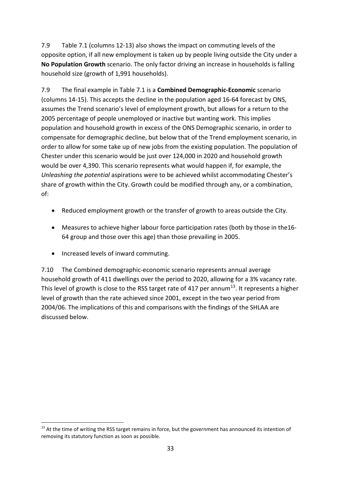7.9 Table 7.1 (columns 12-13) also shows the impact on commuting levels of the opposite option, if all new employment is taken up by people living outside the City under a **No Population Growth** scenario. The only factor driving an increase in households is falling household size (growth of 1,991 households).

7.9 The final example in Table 7.1 is a **Combined Demographic-Economic** scenario (columns 14-15). This accepts the decline in the population aged 16-64 forecast by ONS, assumes the Trend scenario's level of employment growth, but allows for a return to the 2005 percentage of people unemployed or inactive but wanting work. This implies population and household growth in excess of the ONS Demographic scenario, in order to compensate for demographic decline, but below that of the Trend employment scenario, in order to allow for some take up of new jobs from the existing population. The population of Chester under this scenario would be just over 124,000 in 2020 and household growth would be over 4,390. This scenario represents what would happen if, for example, the *Unleashing the potential* aspirations were to be achieved whilst accommodating Chester's share of growth within the City. Growth could be modified through any, or a combination, of:

- Reduced employment growth or the transfer of growth to areas outside the City.
- Measures to achieve higher labour force participation rates (both by those in the16- 64 group and those over this age) than those prevailing in 2005.
- Increased levels of inward commuting.

.

7.10 The Combined demographic-economic scenario represents annual average household growth of 411 dwellings over the period to 2020, allowing for a 3% vacancy rate. This level of growth is close to the RSS target rate of 417 per annum $^{13}$  $^{13}$  $^{13}$ . It represents a higher level of growth than the rate achieved since 2001, except in the two year period from 2004/06. The implications of this and comparisons with the findings of the SHLAA are discussed below.

<span id="page-33-0"></span><sup>&</sup>lt;sup>13</sup> At the time of writing the RSS target remains in force, but the government has announced its intention of removing its statutory function as soon as possible.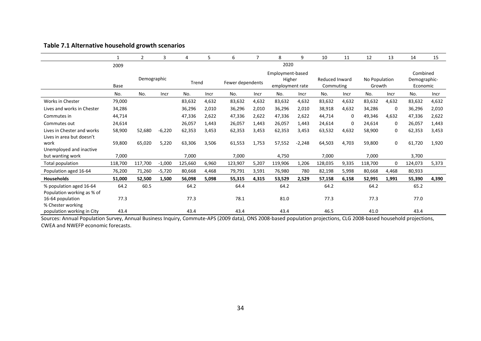|                                                         | 1       | 2           | 3        | 4       | 5     | 6                | 7           | 8                                             | 9        | 10                          | 11    | 12                      | 13          | 14                                   | 15    |
|---------------------------------------------------------|---------|-------------|----------|---------|-------|------------------|-------------|-----------------------------------------------|----------|-----------------------------|-------|-------------------------|-------------|--------------------------------------|-------|
|                                                         | 2009    |             |          |         |       |                  |             | 2020                                          |          |                             |       |                         |             |                                      |       |
|                                                         | Base    | Demographic |          | Trend   |       | Fewer dependents |             | Employment-based<br>Higher<br>employment rate |          | Reduced Inward<br>Commuting |       | No Population<br>Growth |             | Combined<br>Demographic-<br>Economic |       |
|                                                         | No.     | No.         | Incr     | No.     | Incr  | No.              | <b>Incr</b> | No.                                           | Incr     | No.                         | Incr  | No.                     | Incr        | No.                                  | Incr  |
| <b>Works in Chester</b>                                 | 79,000  |             |          | 83,632  | 4,632 | 83,632           | 4,632       | 83,632                                        | 4,632    | 83,632                      | 4,632 | 83,632                  | 4,632       | 83,632                               | 4,632 |
| Lives and works in Chester                              | 34,286  |             |          | 36,296  | 2,010 | 36,296           | 2,010       | 36,296                                        | 2,010    | 38,918                      | 4,632 | 34,286                  | 0           | 36,296                               | 2,010 |
| Commutes in                                             | 44,714  |             |          | 47,336  | 2,622 | 47,336           | 2,622       | 47,336                                        | 2,622    | 44,714                      | 0     | 49,346                  | 4,632       | 47,336                               | 2,622 |
| Commutes out                                            | 24,614  |             |          | 26,057  | 1,443 | 26,057           | 1,443       | 26,057                                        | 1,443    | 24,614                      | 0     | 24,614                  | $\Omega$    | 26,057                               | 1,443 |
| Lives in Chester and works<br>Lives in area but doesn't | 58,900  | 52,680      | $-6,220$ | 62,353  | 3,453 | 62,353           | 3,453       | 62,353                                        | 3,453    | 63,532                      | 4,632 | 58,900                  | 0           | 62,353                               | 3,453 |
| work                                                    | 59,800  | 65,020      | 5,220    | 63,306  | 3,506 | 61,553           | 1,753       | 57,552                                        | $-2,248$ | 64,503                      | 4,703 | 59,800                  | $\mathbf 0$ | 61,720                               | 1,920 |
| Unemployed and inactive<br>but wanting work             | 7,000   |             |          | 7,000   |       | 7,000            |             | 4,750                                         |          | 7,000                       |       | 7,000                   |             | 3,700                                |       |
| <b>Total population</b>                                 | 118,700 | 117,700     | $-1,000$ | 125,660 | 6,960 | 123,907          | 5,207       | 119,906                                       | 1,206    | 128,035                     | 9,335 | 118,700                 | 0           | 124,073                              | 5,373 |
| Population aged 16-64                                   | 76,200  | 71,260      | $-5,720$ | 80,668  | 4,468 | 79,791           | 3,591       | 76,980                                        | 780      | 82,198                      | 5,998 | 80,668                  | 4,468       | 80,933                               |       |
| <b>Households</b>                                       | 51,000  | 52,500      | 1,500    | 56,098  | 5,098 | 55,315           | 4,315       | 53,529                                        | 2,529    | 57,158                      | 6,158 | 52,991                  | 1,991       | 55,390                               | 4,390 |
| % population aged 16-64<br>Population working as % of   | 64.2    | 60.5        |          | 64.2    |       | 64.4             |             | 64.2                                          |          | 64.2                        |       | 64.2                    |             | 65.2                                 |       |
| 16-64 population<br>% Chester working                   | 77.3    |             |          | 77.3    |       | 78.1             |             | 81.0                                          |          | 77.3                        |       | 77.3                    |             | 77.0                                 |       |
| population working in City                              | 43.4    |             |          | 43.4    |       | 43.4             |             | 43.4                                          |          | 46.5                        |       | 41.0                    |             | 43.4                                 |       |

## **Table 7.1 Alternative household growth scenarios**

Sources: Annual Population Survey, Annual Business Inquiry, Commute-APS (2009 data), ONS 2008-based population projections, CLG 2008-based household projections, CWEA and NWEFP economic forecasts.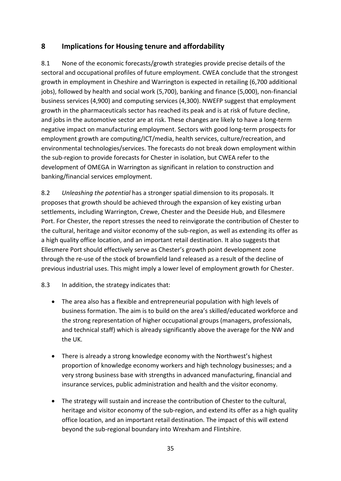## **8 Implications for Housing tenure and affordability**

8.1 None of the economic forecasts/growth strategies provide precise details of the sectoral and occupational profiles of future employment. CWEA conclude that the strongest growth in employment in Cheshire and Warrington is expected in retailing (6,700 additional jobs), followed by health and social work (5,700), banking and finance (5,000), non-financial business services (4,900) and computing services (4,300). NWEFP suggest that employment growth in the pharmaceuticals sector has reached its peak and is at risk of future decline, and jobs in the automotive sector are at risk. These changes are likely to have a long-term negative impact on manufacturing employment. Sectors with good long-term prospects for employment growth are computing/ICT/media, health services, culture/recreation, and environmental technologies/services. The forecasts do not break down employment within the sub-region to provide forecasts for Chester in isolation, but CWEA refer to the development of OMEGA in Warrington as significant in relation to construction and banking/financial services employment.

8.2 *Unleashing the potential* has a stronger spatial dimension to its proposals. It proposes that growth should be achieved through the expansion of key existing urban settlements, including Warrington, Crewe, Chester and the Deeside Hub, and Ellesmere Port. For Chester, the report stresses the need to reinvigorate the contribution of Chester to the cultural, heritage and visitor economy of the sub-region, as well as extending its offer as a high quality office location, and an important retail destination. It also suggests that Ellesmere Port should effectively serve as Chester's growth point development zone through the re-use of the stock of brownfield land released as a result of the decline of previous industrial uses. This might imply a lower level of employment growth for Chester.

## 8.3 In addition, the strategy indicates that:

- The area also has a flexible and entrepreneurial population with high levels of business formation. The aim is to build on the area's skilled/educated workforce and the strong representation of higher occupational groups (managers, professionals, and technical staff) which is already significantly above the average for the NW and the UK.
- There is already a strong knowledge economy with the Northwest's highest proportion of knowledge economy workers and high technology businesses; and a very strong business base with strengths in advanced manufacturing, financial and insurance services, public administration and health and the visitor economy.
- The strategy will sustain and increase the contribution of Chester to the cultural, heritage and visitor economy of the sub-region, and extend its offer as a high quality office location, and an important retail destination. The impact of this will extend beyond the sub-regional boundary into Wrexham and Flintshire.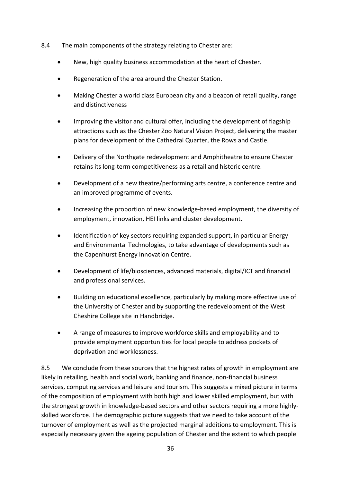- 8.4 The main components of the strategy relating to Chester are:
	- New, high quality business accommodation at the heart of Chester.
	- Regeneration of the area around the Chester Station.
	- Making Chester a world class European city and a beacon of retail quality, range and distinctiveness
	- Improving the visitor and cultural offer, including the development of flagship attractions such as the Chester Zoo Natural Vision Project, delivering the master plans for development of the Cathedral Quarter, the Rows and Castle.
	- Delivery of the Northgate redevelopment and Amphitheatre to ensure Chester retains its long-term competitiveness as a retail and historic centre.
	- Development of a new theatre/performing arts centre, a conference centre and an improved programme of events.
	- Increasing the proportion of new knowledge-based employment, the diversity of employment, innovation, HEI links and cluster development.
	- Identification of key sectors requiring expanded support, in particular Energy and Environmental Technologies, to take advantage of developments such as the Capenhurst Energy Innovation Centre.
	- Development of life/biosciences, advanced materials, digital/ICT and financial and professional services.
	- Building on educational excellence, particularly by making more effective use of the University of Chester and by supporting the redevelopment of the West Cheshire College site in Handbridge.
	- A range of measures to improve workforce skills and employability and to provide employment opportunities for local people to address pockets of deprivation and worklessness.

8.5 We conclude from these sources that the highest rates of growth in employment are likely in retailing, health and social work, banking and finance, non-financial business services, computing services and leisure and tourism. This suggests a mixed picture in terms of the composition of employment with both high and lower skilled employment, but with the strongest growth in knowledge-based sectors and other sectors requiring a more highlyskilled workforce. The demographic picture suggests that we need to take account of the turnover of employment as well as the projected marginal additions to employment. This is especially necessary given the ageing population of Chester and the extent to which people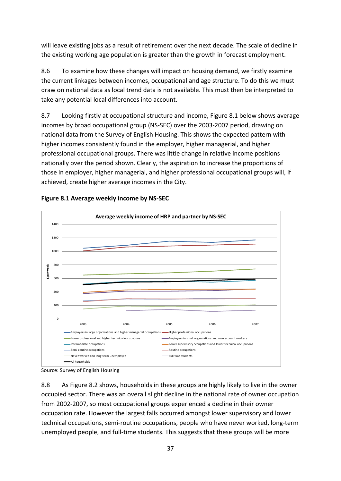will leave existing jobs as a result of retirement over the next decade. The scale of decline in the existing working age population is greater than the growth in forecast employment.

8.6 To examine how these changes will impact on housing demand, we firstly examine the current linkages between incomes, occupational and age structure. To do this we must draw on national data as local trend data is not available. This must then be interpreted to take any potential local differences into account.

8.7 Looking firstly at occupational structure and income, Figure 8.1 below shows average incomes by broad occupational group (NS-SEC) over the 2003-2007 period, drawing on national data from the Survey of English Housing. This shows the expected pattern with higher incomes consistently found in the employer, higher managerial, and higher professional occupational groups. There was little change in relative income positions nationally over the period shown. Clearly, the aspiration to increase the proportions of those in employer, higher managerial, and higher professional occupational groups will, if achieved, create higher average incomes in the City.



## **Figure 8.1 Average weekly income by NS-SEC**

Source: Survey of English Housing

8.8 As Figure 8.2 shows, households in these groups are highly likely to live in the owner occupied sector. There was an overall slight decline in the national rate of owner occupation from 2002-2007, so most occupational groups experienced a decline in their owner occupation rate. However the largest falls occurred amongst lower supervisory and lower technical occupations, semi-routine occupations, people who have never worked, long-term unemployed people, and full-time students. This suggests that these groups will be more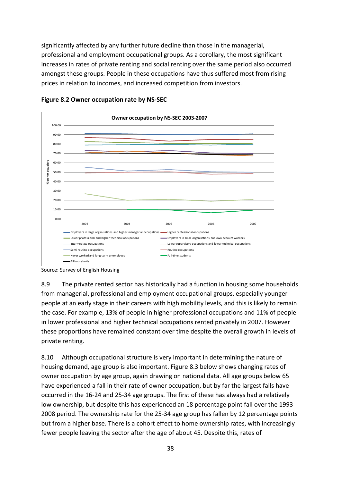significantly affected by any further future decline than those in the managerial, professional and employment occupational groups. As a corollary, the most significant increases in rates of private renting and social renting over the same period also occurred amongst these groups. People in these occupations have thus suffered most from rising prices in relation to incomes, and increased competition from investors.





8.9 The private rented sector has historically had a function in housing some households from managerial, professional and employment occupational groups, especially younger people at an early stage in their careers with high mobility levels, and this is likely to remain the case. For example, 13% of people in higher professional occupations and 11% of people in lower professional and higher technical occupations rented privately in 2007. However these proportions have remained constant over time despite the overall growth in levels of private renting.

8.10 Although occupational structure is very important in determining the nature of housing demand, age group is also important. Figure 8.3 below shows changing rates of owner occupation by age group, again drawing on national data. All age groups below 65 have experienced a fall in their rate of owner occupation, but by far the largest falls have occurred in the 16-24 and 25-34 age groups. The first of these has always had a relatively low ownership, but despite this has experienced an 18 percentage point fall over the 1993- 2008 period. The ownership rate for the 25-34 age group has fallen by 12 percentage points but from a higher base. There is a cohort effect to home ownership rates, with increasingly fewer people leaving the sector after the age of about 45. Despite this, rates of

Source: Survey of English Housing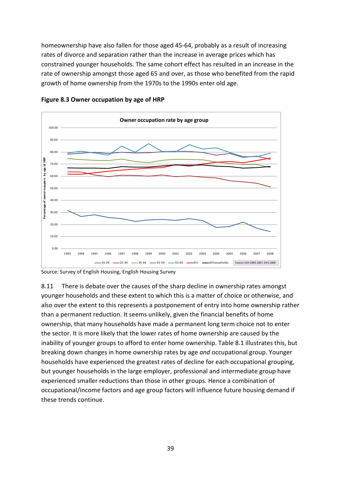homeownership have also fallen for those aged 45-64, probably as a result of increasing rates of divorce and separation rather than the increase in average prices which has constrained younger households. The same cohort effect has resulted in an increase in the rate of ownership amongst those aged 65 and over, as those who benefited from the rapid growth of home ownership from the 1970s to the 1990s enter old age.



**Figure 8.3 Owner occupation by age of HRP**

Source: Survey of English Housing, English Housing Survey

8.11 There is debate over the causes of the sharp decline in ownership rates amongst younger households and these extent to which this is a matter of choice or otherwise, and also over the extent to this represents a postponement of entry into home ownership rather than a permanent reduction. It seems unlikely, given the financial benefits of home ownership, that many households have made a permanent long term choice not to enter the sector. It is more likely that the lower rates of home ownership are caused by the inability of younger groups to afford to enter home ownership. Table 8.1 illustrates this, but breaking down changes in home ownership rates by age *and* occupational group. Younger households have experienced the greatest rates of decline for each occupational grouping, but younger households in the large employer, professional and intermediate group have experienced smaller reductions than those in other groups. Hence a combination of occupational/income factors and age group factors will influence future housing demand if these trends continue.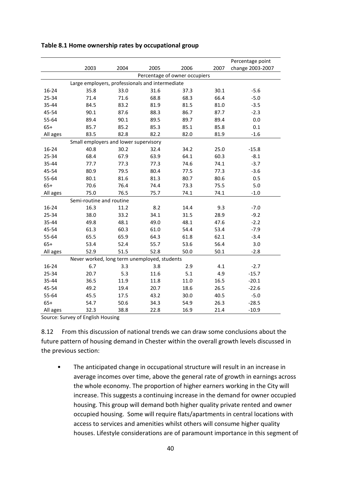|          |                                                 |      |      |      |      | Percentage point |  |  |  |  |  |  |
|----------|-------------------------------------------------|------|------|------|------|------------------|--|--|--|--|--|--|
|          | 2003                                            | 2004 | 2005 | 2006 | 2007 | change 2003-2007 |  |  |  |  |  |  |
|          | Percentage of owner occupiers                   |      |      |      |      |                  |  |  |  |  |  |  |
|          | Large employers, professionals and intermediate |      |      |      |      |                  |  |  |  |  |  |  |
| 16-24    | 35.8                                            | 33.0 | 31.6 | 37.3 | 30.1 | $-5.6$           |  |  |  |  |  |  |
| 25-34    | 71.4                                            | 71.6 | 68.8 | 68.3 | 66.4 | $-5.0$           |  |  |  |  |  |  |
| 35-44    | 84.5                                            | 83.2 | 81.9 | 81.5 | 81.0 | $-3.5$           |  |  |  |  |  |  |
| 45-54    | 90.1                                            | 87.6 | 88.3 | 86.7 | 87.7 | $-2.3$           |  |  |  |  |  |  |
| 55-64    | 89.4                                            | 90.1 | 89.5 | 89.7 | 89.4 | 0.0              |  |  |  |  |  |  |
| $65+$    | 85.7                                            | 85.2 | 85.3 | 85.1 | 85.8 | 0.1              |  |  |  |  |  |  |
| All ages | 83.5                                            | 82.8 | 82.2 | 82.0 | 81.9 | $-1.6$           |  |  |  |  |  |  |
|          | Small employers and lower supervisory           |      |      |      |      |                  |  |  |  |  |  |  |
| 16-24    | 40.8                                            | 30.2 | 32.4 | 34.2 | 25.0 | $-15.8$          |  |  |  |  |  |  |
| 25-34    | 68.4                                            | 67.9 | 63.9 | 64.1 | 60.3 | $-8.1$           |  |  |  |  |  |  |
| 35-44    | 77.7                                            | 77.3 | 77.3 | 74.6 | 74.1 | $-3.7$           |  |  |  |  |  |  |
| 45-54    | 80.9                                            | 79.5 | 80.4 | 77.5 | 77.3 | $-3.6$           |  |  |  |  |  |  |
| 55-64    | 80.1                                            | 81.6 | 81.3 | 80.7 | 80.6 | 0.5              |  |  |  |  |  |  |
| $65+$    | 70.6                                            | 76.4 | 74.4 | 73.3 | 75.5 | 5.0              |  |  |  |  |  |  |
| All ages | 75.0                                            | 76.5 | 75.7 | 74.1 | 74.1 | $-1.0$           |  |  |  |  |  |  |
|          | Semi-routine and routine                        |      |      |      |      |                  |  |  |  |  |  |  |
| 16-24    | 16.3                                            | 11.2 | 8.2  | 14.4 | 9.3  | $-7.0$           |  |  |  |  |  |  |
| 25-34    | 38.0                                            | 33.2 | 34.1 | 31.5 | 28.9 | $-9.2$           |  |  |  |  |  |  |
| 35-44    | 49.8                                            | 48.1 | 49.0 | 48.1 | 47.6 | $-2.2$           |  |  |  |  |  |  |
| 45-54    | 61.3                                            | 60.3 | 61.0 | 54.4 | 53.4 | $-7.9$           |  |  |  |  |  |  |
| 55-64    | 65.5                                            | 65.9 | 64.3 | 61.8 | 62.1 | $-3.4$           |  |  |  |  |  |  |
| $65+$    | 53.4                                            | 52.4 | 55.7 | 53.6 | 56.4 | 3.0              |  |  |  |  |  |  |
| All ages | 52.9                                            | 51.5 | 52.8 | 50.0 | 50.1 | $-2.8$           |  |  |  |  |  |  |
|          | Never worked, long term unemployed, students    |      |      |      |      |                  |  |  |  |  |  |  |
| 16-24    | 6.7                                             | 3.3  | 3.8  | 2.9  | 4.1  | $-2.7$           |  |  |  |  |  |  |
| 25-34    | 20.7                                            | 5.3  | 11.6 | 5.1  | 4.9  | $-15.7$          |  |  |  |  |  |  |
| 35-44    | 36.5                                            | 11.9 | 11.8 | 11.0 | 16.5 | $-20.1$          |  |  |  |  |  |  |
| 45-54    | 49.2                                            | 19.4 | 20.7 | 18.6 | 26.5 | $-22.6$          |  |  |  |  |  |  |
| 55-64    | 45.5                                            | 17.5 | 43.2 | 30.0 | 40.5 | $-5.0$           |  |  |  |  |  |  |
| $65+$    | 54.7                                            | 50.6 | 34.3 | 54.9 | 26.3 | $-28.5$          |  |  |  |  |  |  |
| All ages | 32.3                                            | 38.8 | 22.8 | 16.9 | 21.4 | $-10.9$          |  |  |  |  |  |  |

#### **Table 8.1 Home ownership rates by occupational group**

Source: Survey of English Housing

8.12 From this discussion of national trends we can draw some conclusions about the future pattern of housing demand in Chester within the overall growth levels discussed in the previous section:

• The anticipated change in occupational structure will result in an increase in average incomes over time, above the general rate of growth in earnings across the whole economy. The proportion of higher earners working in the City will increase. This suggests a continuing increase in the demand for owner occupied housing. This group will demand both higher quality private rented and owner occupied housing. Some will require flats/apartments in central locations with access to services and amenities whilst others will consume higher quality houses. Lifestyle considerations are of paramount importance in this segment of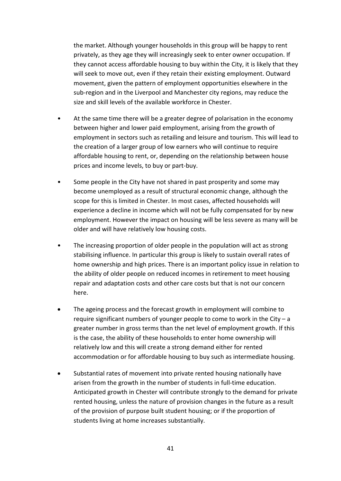the market. Although younger households in this group will be happy to rent privately, as they age they will increasingly seek to enter owner occupation. If they cannot access affordable housing to buy within the City, it is likely that they will seek to move out, even if they retain their existing employment. Outward movement, given the pattern of employment opportunities elsewhere in the sub-region and in the Liverpool and Manchester city regions, may reduce the size and skill levels of the available workforce in Chester.

- At the same time there will be a greater degree of polarisation in the economy between higher and lower paid employment, arising from the growth of employment in sectors such as retailing and leisure and tourism. This will lead to the creation of a larger group of low earners who will continue to require affordable housing to rent, or, depending on the relationship between house prices and income levels, to buy or part-buy.
- Some people in the City have not shared in past prosperity and some may become unemployed as a result of structural economic change, although the scope for this is limited in Chester. In most cases, affected households will experience a decline in income which will not be fully compensated for by new employment. However the impact on housing will be less severe as many will be older and will have relatively low housing costs.
- The increasing proportion of older people in the population will act as strong stabilising influence. In particular this group is likely to sustain overall rates of home ownership and high prices. There is an important policy issue in relation to the ability of older people on reduced incomes in retirement to meet housing repair and adaptation costs and other care costs but that is not our concern here.
- The ageing process and the forecast growth in employment will combine to require significant numbers of younger people to come to work in the City – a greater number in gross terms than the net level of employment growth. If this is the case, the ability of these households to enter home ownership will relatively low and this will create a strong demand either for rented accommodation or for affordable housing to buy such as intermediate housing.
- Substantial rates of movement into private rented housing nationally have arisen from the growth in the number of students in full-time education. Anticipated growth in Chester will contribute strongly to the demand for private rented housing, unless the nature of provision changes in the future as a result of the provision of purpose built student housing; or if the proportion of students living at home increases substantially.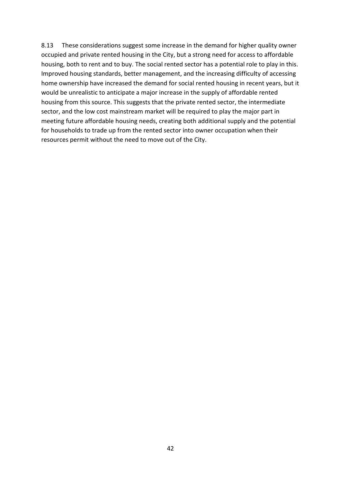8.13 These considerations suggest some increase in the demand for higher quality owner occupied and private rented housing in the City, but a strong need for access to affordable housing, both to rent and to buy. The social rented sector has a potential role to play in this. Improved housing standards, better management, and the increasing difficulty of accessing home ownership have increased the demand for social rented housing in recent years, but it would be unrealistic to anticipate a major increase in the supply of affordable rented housing from this source. This suggests that the private rented sector, the intermediate sector, and the low cost mainstream market will be required to play the major part in meeting future affordable housing needs, creating both additional supply and the potential for households to trade up from the rented sector into owner occupation when their resources permit without the need to move out of the City.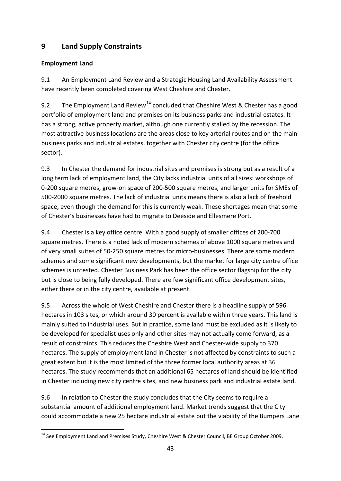# **9 Land Supply Constraints**

## **Employment Land**

9.1 An Employment Land Review and a Strategic Housing Land Availability Assessment have recently been completed covering West Cheshire and Chester.

9.2 The Employment Land Review<sup>[14](#page-43-0)</sup> concluded that Cheshire West & Chester has a good portfolio of employment land and premises on its business parks and industrial estates. It has a strong, active property market, although one currently stalled by the recession. The most attractive business locations are the areas close to key arterial routes and on the main business parks and industrial estates, together with Chester city centre (for the office sector).

9.3 In Chester the demand for industrial sites and premises is strong but as a result of a long term lack of employment land, the City lacks industrial units of all sizes: workshops of 0-200 square metres, grow-on space of 200-500 square metres, and larger units for SMEs of 500-2000 square metres. The lack of industrial units means there is also a lack of freehold space, even though the demand for this is currently weak. These shortages mean that some of Chester's businesses have had to migrate to Deeside and Ellesmere Port.

9.4 Chester is a key office centre. With a good supply of smaller offices of 200-700 square metres. There is a noted lack of modern schemes of above 1000 square metres and of very small suites of 50-250 square metres for micro-businesses. There are some modern schemes and some significant new developments, but the market for large city centre office schemes is untested. Chester Business Park has been the office sector flagship for the city but is close to being fully developed. There are few significant office development sites, either there or in the city centre, available at present.

9.5 Across the whole of West Cheshire and Chester there is a headline supply of 596 hectares in 103 sites, or which around 30 percent is available within three years. This land is mainly suited to industrial uses. But in practice, some land must be excluded as it is likely to be developed for specialist uses only and other sites may not actually come forward, as a result of constraints. This reduces the Cheshire West and Chester-wide supply to 370 hectares. The supply of employment land in Chester is not affected by constraints to such a great extent but it is the most limited of the three former local authority areas at 36 hectares. The study recommends that an additional 65 hectares of land should be identified in Chester including new city centre sites, and new business park and industrial estate land.

9.6 In relation to Chester the study concludes that the City seems to require a substantial amount of additional employment land. Market trends suggest that the City could accommodate a new 25 hectare industrial estate but the viability of the Bumpers Lane

<span id="page-43-0"></span><sup>.</sup> <sup>14</sup> See Employment Land and Premises Study, Cheshire West & Chester Council, BE Group October 2009.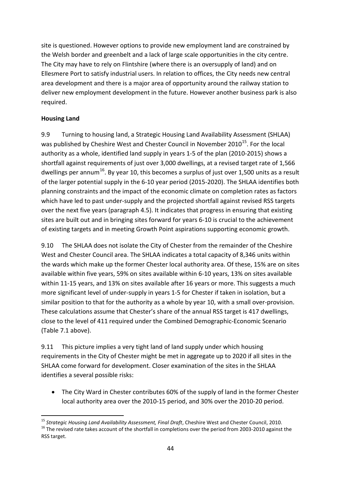site is questioned. However options to provide new employment land are constrained by the Welsh border and greenbelt and a lack of large scale opportunities in the city centre. The City may have to rely on Flintshire (where there is an oversupply of land) and on Ellesmere Port to satisfy industrial users. In relation to offices, the City needs new central area development and there is a major area of opportunity around the railway station to deliver new employment development in the future. However another business park is also required.

## **Housing Land**

9.9 Turning to housing land, a Strategic Housing Land Availability Assessment (SHLAA) was published by Cheshire West and Chester Council in November  $2010^{15}$ . For the local authority as a whole, identified land supply in years 1-5 of the plan (2010-2015) shows a shortfall against requirements of just over 3,000 dwellings, at a revised target rate of 1,566 dwellings per annum<sup>[16](#page-44-1)</sup>. By year 10, this becomes a surplus of just over 1,500 units as a result of the larger potential supply in the 6-10 year period (2015-2020). The SHLAA identifies both planning constraints and the impact of the economic climate on completion rates as factors which have led to past under-supply and the projected shortfall against revised RSS targets over the next five years (paragraph 4.5). It indicates that progress in ensuring that existing sites are built out and in bringing sites forward for years 6-10 is crucial to the achievement of existing targets and in meeting Growth Point aspirations supporting economic growth.

9.10 The SHLAA does not isolate the City of Chester from the remainder of the Cheshire West and Chester Council area. The SHLAA indicates a total capacity of 8,346 units within the wards which make up the former Chester local authority area. Of these, 15% are on sites available within five years, 59% on sites available within 6-10 years, 13% on sites available within 11-15 years, and 13% on sites available after 16 years or more. This suggests a much more significant level of under-supply in years 1-5 for Chester if taken in isolation, but a similar position to that for the authority as a whole by year 10, with a small over-provision. These calculations assume that Chester's share of the annual RSS target is 417 dwellings, close to the level of 411 required under the Combined Demographic-Economic Scenario (Table 7.1 above).

9.11 This picture implies a very tight land of land supply under which housing requirements in the City of Chester might be met in aggregate up to 2020 if all sites in the SHLAA come forward for development. Closer examination of the sites in the SHLAA identifies a several possible risks:

• The City Ward in Chester contributes 60% of the supply of land in the former Chester local authority area over the 2010-15 period, and 30% over the 2010-20 period.

<span id="page-44-1"></span><span id="page-44-0"></span><sup>.</sup> <sup>15</sup> Strategic Housing Land Availability Assessment, Final Draft, Cheshire West and Chester Council, 2010. <sup>16</sup> The revised rate takes account of the shortfall in completions over the period from 2003-2010 against the RSS target.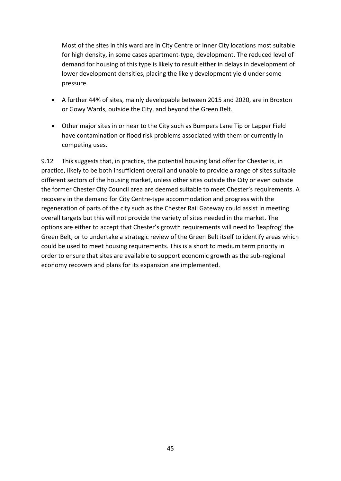Most of the sites in this ward are in City Centre or Inner City locations most suitable for high density, in some cases apartment-type, development. The reduced level of demand for housing of this type is likely to result either in delays in development of lower development densities, placing the likely development yield under some pressure.

- A further 44% of sites, mainly developable between 2015 and 2020, are in Broxton or Gowy Wards, outside the City, and beyond the Green Belt.
- Other major sites in or near to the City such as Bumpers Lane Tip or Lapper Field have contamination or flood risk problems associated with them or currently in competing uses.

9.12 This suggests that, in practice, the potential housing land offer for Chester is, in practice, likely to be both insufficient overall and unable to provide a range of sites suitable different sectors of the housing market, unless other sites outside the City or even outside the former Chester City Council area are deemed suitable to meet Chester's requirements. A recovery in the demand for City Centre-type accommodation and progress with the regeneration of parts of the city such as the Chester Rail Gateway could assist in meeting overall targets but this will not provide the variety of sites needed in the market. The options are either to accept that Chester's growth requirements will need to 'leapfrog' the Green Belt, or to undertake a strategic review of the Green Belt itself to identify areas which could be used to meet housing requirements. This is a short to medium term priority in order to ensure that sites are available to support economic growth as the sub-regional economy recovers and plans for its expansion are implemented.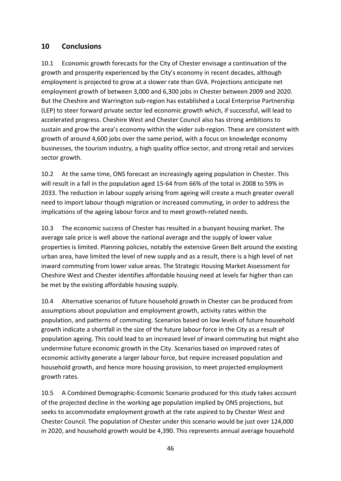## **10 Conclusions**

10.1 Economic growth forecasts for the City of Chester envisage a continuation of the growth and prosperity experienced by the City's economy in recent decades, although employment is projected to grow at a slower rate than GVA. Projections anticipate net employment growth of between 3,000 and 6,300 jobs in Chester between 2009 and 2020. But the Cheshire and Warrington sub-region has established a Local Enterprise Partnership (LEP) to steer forward private sector led economic growth which, if successful, will lead to accelerated progress. Cheshire West and Chester Council also has strong ambitions to sustain and grow the area's economy within the wider sub-region. These are consistent with growth of around 4,600 jobs over the same period, with a focus on knowledge economy businesses, the tourism industry, a high quality office sector, and strong retail and services sector growth.

10.2 At the same time, ONS forecast an increasingly ageing population in Chester. This will result in a fall in the population aged 15-64 from 66% of the total in 2008 to 59% in 2033. The reduction in labour supply arising from ageing will create a much greater overall need to import labour though migration or increased commuting, in order to address the implications of the ageing labour force and to meet growth-related needs.

10.3 The economic success of Chester has resulted in a buoyant housing market. The average sale price is well above the national average and the supply of lower value properties is limited. Planning policies, notably the extensive Green Belt around the existing urban area, have limited the level of new supply and as a result, there is a high level of net inward commuting from lower value areas. The Strategic Housing Market Assessment for Cheshire West and Chester identifies affordable housing need at levels far higher than can be met by the existing affordable housing supply.

10.4 Alternative scenarios of future household growth in Chester can be produced from assumptions about population and employment growth, activity rates within the population, and patterns of commuting. Scenarios based on low levels of future household growth indicate a shortfall in the size of the future labour force in the City as a result of population ageing. This could lead to an increased level of inward commuting but might also undermine future economic growth in the City. Scenarios based on improved rates of economic activity generate a larger labour force, but require increased population and household growth, and hence more housing provision, to meet projected employment growth rates.

10.5 A Combined Demographic-Economic Scenario produced for this study takes account of the projected decline in the working age population implied by ONS projections, but seeks to accommodate employment growth at the rate aspired to by Chester West and Chester Council. The population of Chester under this scenario would be just over 124,000 in 2020, and household growth would be 4,390. This represents annual average household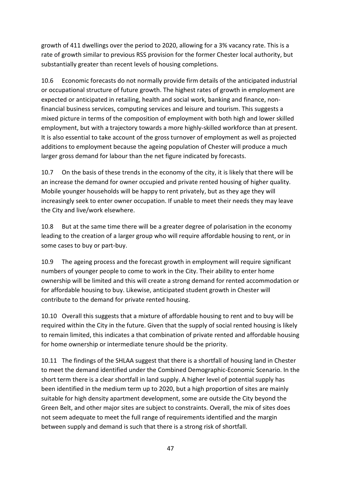growth of 411 dwellings over the period to 2020, allowing for a 3% vacancy rate. This is a rate of growth similar to previous RSS provision for the former Chester local authority, but substantially greater than recent levels of housing completions.

10.6 Economic forecasts do not normally provide firm details of the anticipated industrial or occupational structure of future growth. The highest rates of growth in employment are expected or anticipated in retailing, health and social work, banking and finance, nonfinancial business services, computing services and leisure and tourism. This suggests a mixed picture in terms of the composition of employment with both high and lower skilled employment, but with a trajectory towards a more highly-skilled workforce than at present. It is also essential to take account of the gross turnover of employment as well as projected additions to employment because the ageing population of Chester will produce a much larger gross demand for labour than the net figure indicated by forecasts.

10.7 On the basis of these trends in the economy of the city, it is likely that there will be an increase the demand for owner occupied and private rented housing of higher quality. Mobile younger households will be happy to rent privately, but as they age they will increasingly seek to enter owner occupation. If unable to meet their needs they may leave the City and live/work elsewhere.

10.8 But at the same time there will be a greater degree of polarisation in the economy leading to the creation of a larger group who will require affordable housing to rent, or in some cases to buy or part-buy.

10.9 The ageing process and the forecast growth in employment will require significant numbers of younger people to come to work in the City. Their ability to enter home ownership will be limited and this will create a strong demand for rented accommodation or for affordable housing to buy. Likewise, anticipated student growth in Chester will contribute to the demand for private rented housing.

10.10 Overall this suggests that a mixture of affordable housing to rent and to buy will be required within the City in the future. Given that the supply of social rented housing is likely to remain limited, this indicates a that combination of private rented and affordable housing for home ownership or intermediate tenure should be the priority.

10.11 The findings of the SHLAA suggest that there is a shortfall of housing land in Chester to meet the demand identified under the Combined Demographic-Economic Scenario. In the short term there is a clear shortfall in land supply. A higher level of potential supply has been identified in the medium term up to 2020, but a high proportion of sites are mainly suitable for high density apartment development, some are outside the City beyond the Green Belt, and other major sites are subject to constraints. Overall, the mix of sites does not seem adequate to meet the full range of requirements identified and the margin between supply and demand is such that there is a strong risk of shortfall.